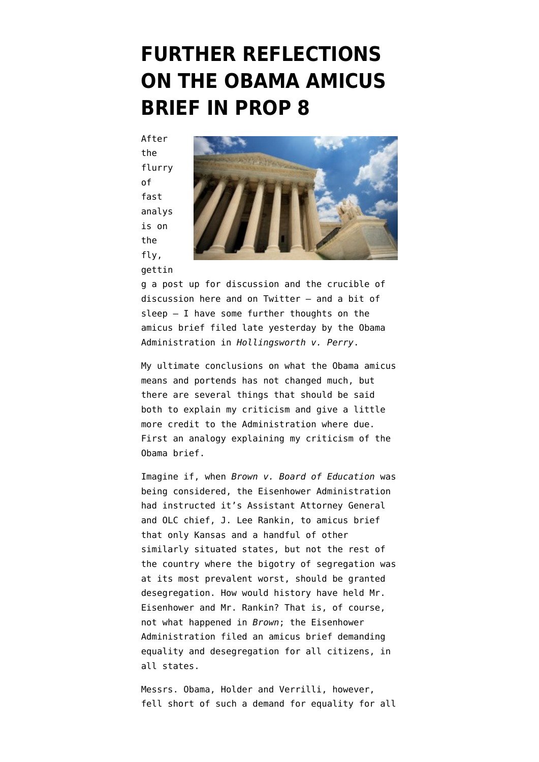### **[FURTHER REFLECTIONS](https://www.emptywheel.net/2013/03/01/further-reflections-on-the-obama-amicus-brief-in-prop-8/) [ON THE OBAMA AMICUS](https://www.emptywheel.net/2013/03/01/further-reflections-on-the-obama-amicus-brief-in-prop-8/) [BRIEF IN PROP 8](https://www.emptywheel.net/2013/03/01/further-reflections-on-the-obama-amicus-brief-in-prop-8/)**

After the flurry of fast analys is on the fly, [gettin](http://www.emptywheel.net/2013/02/28/the-obama-doj-files-a-timid-brief-in-perryprop-8/)



[g a post up for discussion](http://www.emptywheel.net/2013/02/28/the-obama-doj-files-a-timid-brief-in-perryprop-8/) and the crucible of discussion here and on Twitter – and a bit of sleep – I have some further thoughts on the amicus brief filed late yesterday by the Obama Administration in *Hollingsworth v. Perry*.

My ultimate conclusions on what the Obama amicus means and portends has not changed much, but there are several things that should be said both to explain my criticism and give a little more credit to the Administration where due. First an analogy explaining my criticism of the Obama brief.

Imagine if, when *Brown v. Board of Education* was being considered, the Eisenhower Administration had instructed it's Assistant Attorney General and OLC chief, J. Lee Rankin, to amicus brief that only Kansas and a handful of other similarly situated states, but not the rest of the country where the bigotry of segregation was at its most prevalent worst, should be granted desegregation. How would history have held Mr. Eisenhower and Mr. Rankin? That is, of course, not what happened in *Brown*; the Eisenhower Administration filed an amicus brief demanding equality and desegregation for all citizens, in all states.

Messrs. Obama, Holder and Verrilli, however, fell short of such a demand for equality for all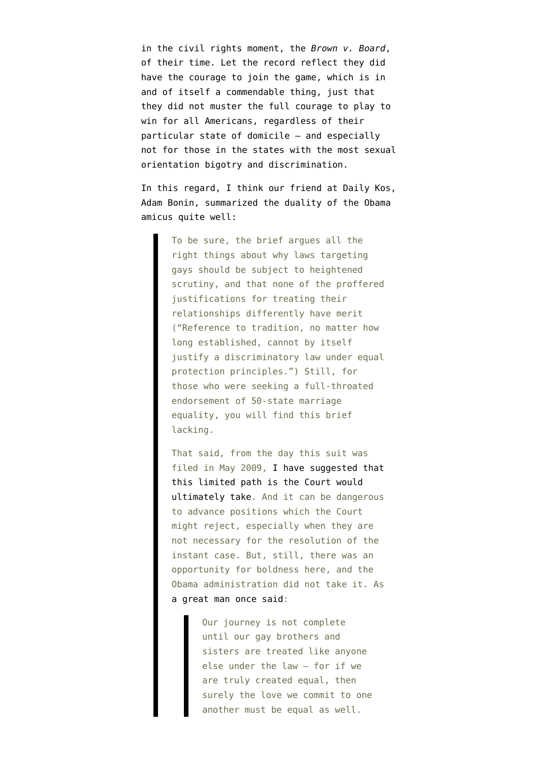in the civil rights moment, the *Brown v. Board*, of their time. Let the record reflect they did have the courage to join the game, which is in and of itself a commendable thing, just that they did not muster the full courage to play to win for all Americans, regardless of their particular state of domicile – and especially not for those in the states with the most sexual orientation bigotry and discrimination.

In this regard, I think our friend at Daily Kos, Adam Bonin, [summarized the duality of the Obama](http://www.dailykos.com/story/2013/02/28/1190603/-Obama-s-brief-urges-marriage-equality-in-California-and-seven-other-states) [amicus](http://www.dailykos.com/story/2013/02/28/1190603/-Obama-s-brief-urges-marriage-equality-in-California-and-seven-other-states) quite well:

> To be sure, the brief argues all the right things about why laws targeting gays should be subject to heightened scrutiny, and that none of the proffered justifications for treating their relationships differently have merit ("Reference to tradition, no matter how long established, cannot by itself justify a discriminatory law under equal protection principles.") Still, for those who were seeking a full-throated endorsement of 50-state marriage equality, you will find this brief lacking.

> That said, from the day this suit was filed in May 2009, [I have suggested that](http://www.dailykos.com/story/2009/05/28/736016/-What-the-Heck-Is-Ted-Olson-Up-To) [this limited path is the Court would](http://www.dailykos.com/story/2009/05/28/736016/-What-the-Heck-Is-Ted-Olson-Up-To) [ultimately take.](http://www.dailykos.com/story/2009/05/28/736016/-What-the-Heck-Is-Ted-Olson-Up-To) And it can be dangerous to advance positions which the Court might reject, especially when they are not necessary for the resolution of the instant case. But, still, there was an opportunity for boldness here, and the Obama administration did not take it. As [a great man once said:](http://www.nytimes.com/2013/01/21/us/politics/obamas-second-inaugural-speech.html?pagewanted=all)

> > Our journey is not complete until our gay brothers and sisters are treated like anyone else under the law – for if we are truly created equal, then surely the love we commit to one another must be equal as well.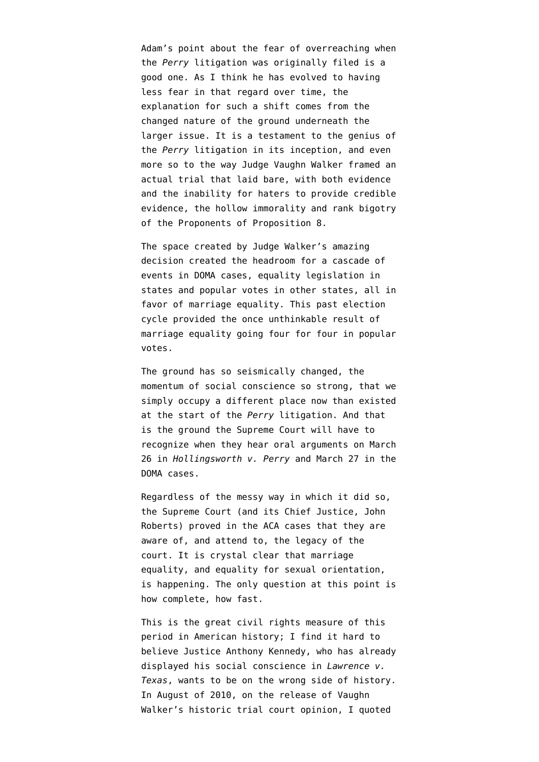Adam's point about the fear of overreaching when the *Perry* litigation was originally filed is a good one. As I think he has evolved to having less fear in that regard over time, the explanation for such a shift comes from the changed nature of the ground underneath the larger issue. It is a testament to the genius of the *Perry* litigation in its inception, and even more so to the way Judge Vaughn Walker framed an actual trial that laid bare, with both evidence and the inability for haters to provide credible evidence, the hollow immorality and rank bigotry of the Proponents of Proposition 8.

The space created by [Judge Walker's amazing](http://www.emptywheel.net/2010/08/04/breaking-news-court-overturns-prop-8-joy-for-marriage-equality/) [decision](http://www.emptywheel.net/2010/08/04/breaking-news-court-overturns-prop-8-joy-for-marriage-equality/) created the headroom for a cascade of events in DOMA cases, equality legislation in states and popular votes in other states, all in favor of marriage equality. This past election cycle provided the once unthinkable result of marriage equality going four for four in popular votes.

The ground has so seismically changed, the momentum of social conscience so strong, that we simply occupy a different place now than existed at the start of the *Perry* litigation. And that is the ground the Supreme Court will have to recognize when they hear oral arguments on March 26 in *Hollingsworth v. Perry* and March 27 in the DOMA cases.

Regardless of the messy way in which it did so, the Supreme Court (and its Chief Justice, John Roberts) proved in the ACA cases that they are aware of, and attend to, the legacy of the court. It is crystal clear that marriage equality, and equality for sexual orientation, is happening. The only question at this point is how complete, how fast.

This is the great civil rights measure of this period in American history; I find it hard to believe Justice Anthony Kennedy, who has already displayed his social conscience in *Lawrence v. Texas*, wants to be on the wrong side of history. In August of 2010, on the release of Vaughn Walker's historic trial court opinion, I quoted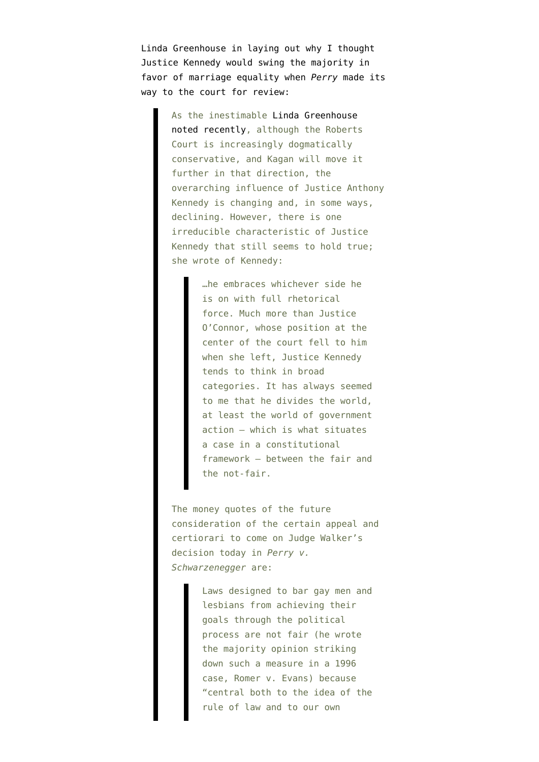Linda Greenhouse in laying out why I thought [Justice Kennedy would swing the majority in](http://www.emptywheel.net/2010/08/04/breaking-news-court-overturns-prop-8-joy-for-marriage-equality/) [favor of marriage equality](http://www.emptywheel.net/2010/08/04/breaking-news-court-overturns-prop-8-joy-for-marriage-equality/) when *Perry* made its way to the court for review:

> As the inestimable [Linda Greenhouse](http://opinionator.blogs.nytimes.com/2010/07/15/rethinking-the-kennedy-court/) [noted recently,](http://opinionator.blogs.nytimes.com/2010/07/15/rethinking-the-kennedy-court/) although the Roberts Court is increasingly dogmatically conservative, and Kagan will move it further in that direction, the overarching influence of Justice Anthony Kennedy is changing and, in some ways, declining. However, there is one irreducible characteristic of Justice Kennedy that still seems to hold true; she wrote of Kennedy:

> > …he embraces whichever side he is on with full rhetorical force. Much more than Justice O'Connor, whose position at the center of the court fell to him when she left, Justice Kennedy tends to think in broad categories. It has always seemed to me that he divides the world, at least the world of government action — which is what situates a case in a constitutional framework — between the fair and the not-fair.

The money quotes of the future consideration of the certain appeal and certiorari to come on Judge Walker's decision today in *Perry v. Schwarzenegger* are:

> Laws designed to bar gay men and lesbians from achieving their goals through the political process are not fair (he wrote the majority opinion striking down such a measure in a 1996 case, Romer v. Evans) because "central both to the idea of the rule of law and to our own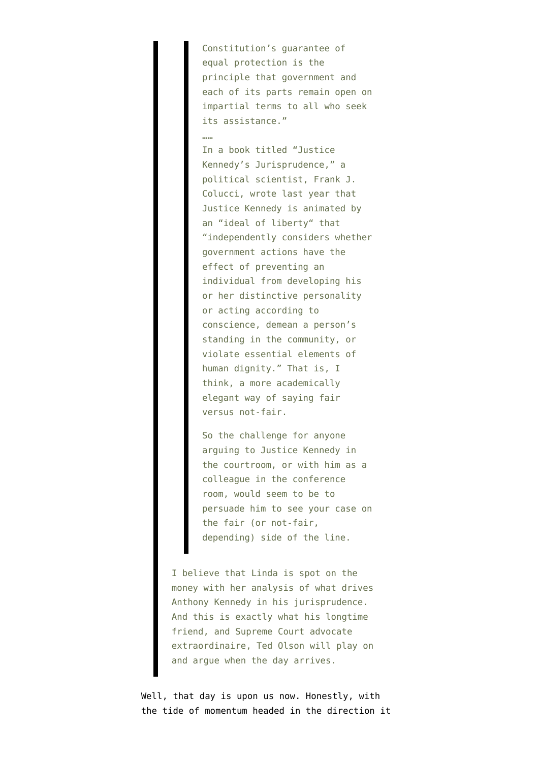Constitution's guarantee of equal protection is the principle that government and each of its parts remain open on impartial terms to all who seek its assistance."

……

In a book titled "Justice Kennedy's Jurisprudence," a political scientist, Frank J. Colucci, wrote last year that Justice Kennedy is animated by an "ideal of liberty" that "independently considers whether government actions have the effect of preventing an individual from developing his or her distinctive personality or acting according to conscience, demean a person's standing in the community, or violate essential elements of human dignity." That is, I think, a more academically elegant way of saying fair versus not-fair.

So the challenge for anyone arguing to Justice Kennedy in the courtroom, or with him as a colleague in the conference room, would seem to be to persuade him to see your case on the fair (or not-fair, depending) side of the line.

I believe that Linda is spot on the money with her analysis of what drives Anthony Kennedy in his jurisprudence. And this is exactly what his longtime friend, and Supreme Court advocate extraordinaire, Ted Olson will play on and argue when the day arrives.

Well, that day is upon us now. Honestly, with the tide of momentum headed in the direction it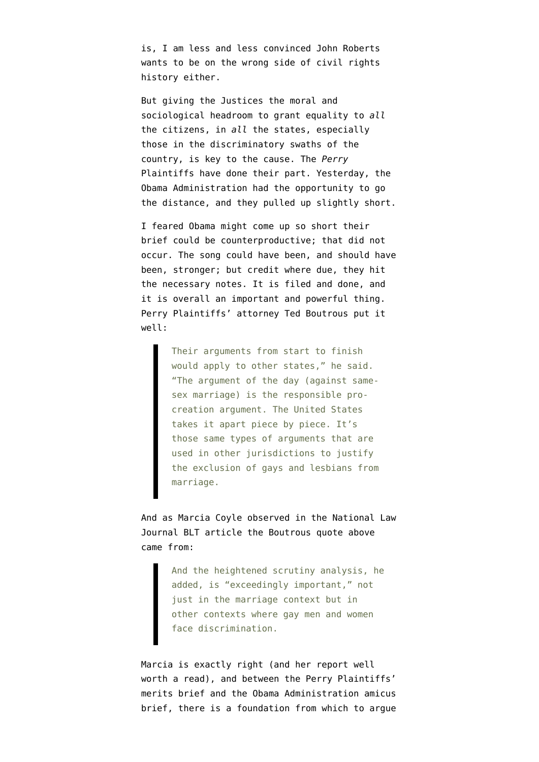is, I am less and less convinced John Roberts wants to be on the wrong side of civil rights history either.

But giving the Justices the moral and sociological headroom to grant equality to *all* the citizens, in *all* the states, especially those in the discriminatory swaths of the country, is key to the cause. The *Perry* Plaintiffs have done their part. Yesterday, the Obama Administration had the opportunity to go the distance, and they pulled up slightly short.

I feared Obama might come up so short their brief could be counterproductive; that did not occur. The song could have been, and should have been, stronger; but credit where due, they hit the necessary notes. It is filed and done, and it is overall an important and powerful thing. Perry Plaintiffs' attorney [Ted Boutrous put it](http://legaltimes.typepad.com/blt/2013/03/government-presses-8-state-solution-for-gay-marriage-and-more.html) [well](http://legaltimes.typepad.com/blt/2013/03/government-presses-8-state-solution-for-gay-marriage-and-more.html):

> Their arguments from start to finish would apply to other states," he said. "The argument of the day (against samesex marriage) is the responsible procreation argument. The United States takes it apart piece by piece. It's those same types of arguments that are used in other jurisdictions to justify the exclusion of gays and lesbians from marriage.

And as [Marcia Coyle observed](http://legaltimes.typepad.com/blt/2013/03/government-presses-8-state-solution-for-gay-marriage-and-more.html) in the National Law Journal BLT article the Boutrous quote above came from:

> And the heightened scrutiny analysis, he added, is "exceedingly important," not just in the marriage context but in other contexts where gay men and women face discrimination.

Marcia is exactly right (and her report well worth a read), and between the Perry Plaintiffs' merits brief and the Obama Administration amicus brief, there is a foundation from which to argue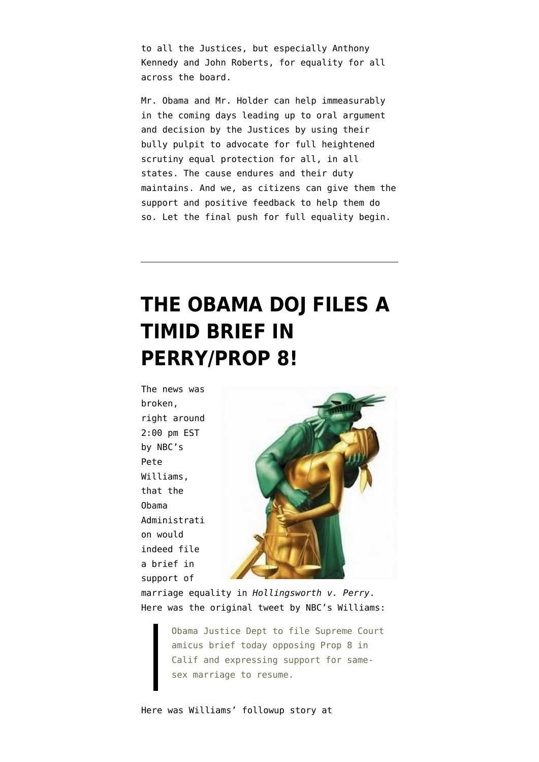to all the Justices, but especially Anthony Kennedy and John Roberts, for equality for all across the board.

Mr. Obama and Mr. Holder can help immeasurably in the coming days leading up to oral argument and decision by the Justices by using their bully pulpit to advocate for full heightened scrutiny equal protection for all, in all states. The cause endures and their duty maintains. And we, as citizens can give them the support and positive feedback to help them do so. Let the final push for full equality begin.

## **[THE OBAMA DOJ FILES A](https://www.emptywheel.net/2013/02/28/the-obama-doj-files-a-timid-brief-in-perryprop-8/) [TIMID BRIEF IN](https://www.emptywheel.net/2013/02/28/the-obama-doj-files-a-timid-brief-in-perryprop-8/) [PERRY/PROP 8!](https://www.emptywheel.net/2013/02/28/the-obama-doj-files-a-timid-brief-in-perryprop-8/)**

The news was broken, right around 2:00 pm EST by NBC's Pete Williams, that the Obama Administrati on would indeed file a brief in support of



marriage equality in *Hollingsworth v. Perry*. Here was the [original tweet by NBC's Williams](https://twitter.com/PeteWilliamsNBC/status/307204327003549696):

> Obama Justice Dept to file Supreme Court amicus brief today opposing Prop 8 in Calif and expressing support for samesex marriage to resume.

Here was Williams' [followup story at](http://firstread.nbcnews.com/_news/2013/02/28/17134418-obama-administration-to-express-support-for-gay-marriage-before-supreme-court?lite)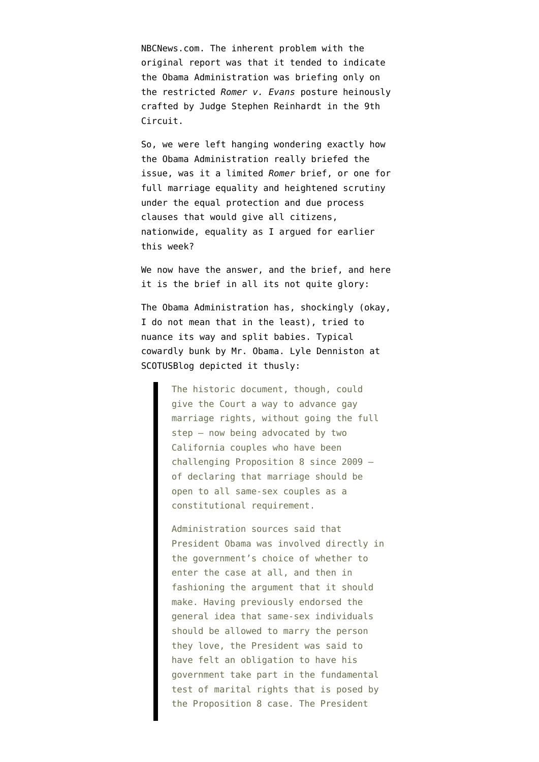[NBCNews.com](http://firstread.nbcnews.com/_news/2013/02/28/17134418-obama-administration-to-express-support-for-gay-marriage-before-supreme-court?lite). The inherent problem with the original report was that it tended to indicate the Obama Administration was briefing only on the restricted *[Romer v. Evans](http://www.law.cornell.edu/supct/html/94-1039.ZO.html)* posture heinously [crafted by Judge Stephen Reinhardt in the 9th](http://www.emptywheel.net/2012/02/07/9th-circuit-prop-8-decision-equal-protection-at-the-end-of-the-rainbow/) [Circuit.](http://www.emptywheel.net/2012/02/07/9th-circuit-prop-8-decision-equal-protection-at-the-end-of-the-rainbow/)

So, we were left hanging wondering exactly how the Obama Administration really briefed the issue, was it a limited *Romer* brief, or one for full marriage equality and heightened scrutiny under the equal protection and due process clauses that would give all citizens, nationwide, equality [as I argued for earlier](http://www.emptywheel.net/2013/02/27/obama-holder-verrilli-and-the-mark-of-civil-rights-history/) [this week?](http://www.emptywheel.net/2013/02/27/obama-holder-verrilli-and-the-mark-of-civil-rights-history/)

We now have the answer, and the brief, and [here](http://www.emptywheel.net/wp-content/uploads/2013/02/DOJPerryBrief.pdf) [it is the brief in all its not quite glory](http://www.emptywheel.net/wp-content/uploads/2013/02/DOJPerryBrief.pdf):

The Obama Administration has, shockingly (okay, I do not mean that in the least), tried to nuance its way and split babies. Typical cowardly bunk by Mr. Obama. [Lyle Denniston at](http://www.scotusblog.com/2013/02/u-s-endorses-limited-gay-marriage-right/) [SCOTUSBlog](http://www.scotusblog.com/2013/02/u-s-endorses-limited-gay-marriage-right/) depicted it thusly:

> The historic document, though, could give the Court a way to advance gay marriage rights, without going the full step — now being advocated by two California couples who have been challenging Proposition 8 since 2009 of declaring that marriage should be open to all same-sex couples as a constitutional requirement.

Administration sources said that President Obama was involved directly in the government's choice of whether to enter the case at all, and then in fashioning the argument that it should make. Having previously endorsed the general idea that same-sex individuals should be allowed to marry the person they love, the President was said to have felt an obligation to have his government take part in the fundamental test of marital rights that is posed by the Proposition 8 case. The President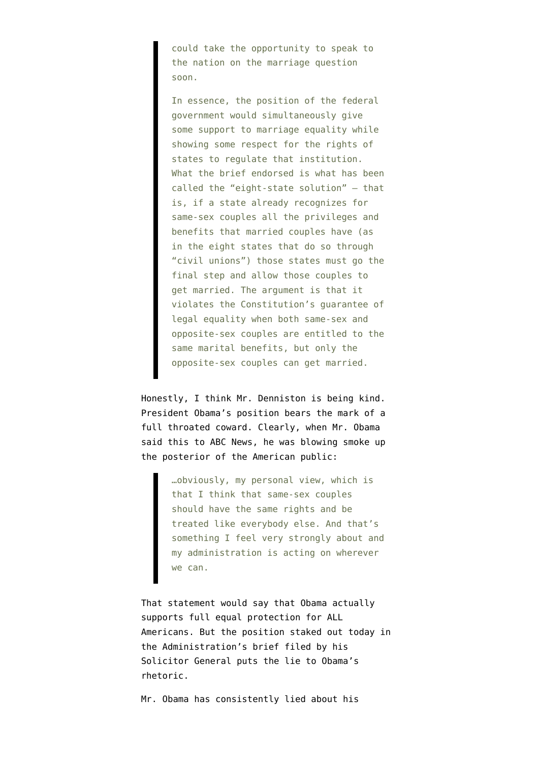could take the opportunity to speak to the nation on the marriage question soon.

In essence, the position of the federal government would simultaneously give some support to marriage equality while showing some respect for the rights of states to regulate that institution. What the brief endorsed is what has been called the "eight-state solution" — that is, if a state already recognizes for same-sex couples all the privileges and benefits that married couples have (as in the eight states that do so through "civil unions") those states must go the final step and allow those couples to get married. The argument is that it violates the Constitution's guarantee of legal equality when both same-sex and opposite-sex couples are entitled to the same marital benefits, but only the opposite-sex couples can get married.

Honestly, I think Mr. Denniston is being kind. President Obama's position bears the mark of a full throated coward. Clearly, when [Mr. Obama](http://www.washingtonpost.com/blogs/plum-line/wp/2013/02/21/obama-administration-set-to-do-right-thing-on-prop-8/) [said this to ABC News](http://www.washingtonpost.com/blogs/plum-line/wp/2013/02/21/obama-administration-set-to-do-right-thing-on-prop-8/), he was blowing smoke up the posterior of the American public:

> …obviously, my personal view, which is that I think that same-sex couples should have the same rights and be treated like everybody else. And that's something I feel very strongly about and my administration is acting on wherever we can.

That statement would say that Obama actually supports full equal protection for ALL Americans. But the position staked out today in the Administration's brief filed by his Solicitor General puts the lie to Obama's rhetoric.

Mr. Obama has consistently lied about his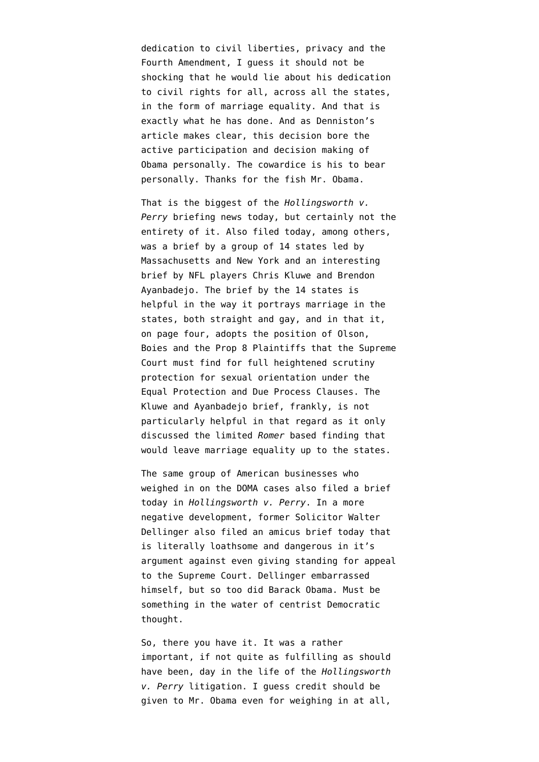dedication to civil liberties, privacy and the Fourth Amendment, I guess it should not be shocking that he would lie about his dedication to civil rights for all, across all the states, in the form of marriage equality. And that is exactly what he has done. And as Denniston's article makes clear, this decision bore the active participation and decision making of Obama personally. The cowardice is his to bear personally. Thanks for the fish Mr. Obama.

That is the biggest of the *Hollingsworth v. Perry* briefing news today, but certainly not the entirety of it. Also filed today, among others, was a brief by a group of [14 states led by](http://www.emptywheel.net/wp-content/uploads/2013/02/StatesPerryBrief.pdf) [Massachusetts and New York](http://www.emptywheel.net/wp-content/uploads/2013/02/StatesPerryBrief.pdf) and an interesting brief by NFL players [Chris Kluwe and Brendon](http://www.emptywheel.net/wp-content/uploads/2013/02/KluweAyanbadejoPerryBrief1.pdf) [Ayanbadejo.](http://www.emptywheel.net/wp-content/uploads/2013/02/KluweAyanbadejoPerryBrief1.pdf) The brief by the 14 states is helpful in the way it portrays marriage in the states, both straight and gay, and in that it, on page four, adopts the position of Olson, Boies and the Prop 8 Plaintiffs that the Supreme Court must find for full heightened scrutiny protection for sexual orientation under the Equal Protection and Due Process Clauses. The Kluwe and Ayanbadejo brief, frankly, is not particularly helpful in that regard as it only discussed the limited *Romer* based finding that would leave marriage equality up to the states.

The same [group of American businesses](http://www.emptywheel.net/wp-content/uploads/2013/02/AmericanBusinessPerryBrief.pdf) who weighed in on the DOMA cases also filed a brief today in *Hollingsworth v. Perry*. In a more negative development, former Solicitor Walter Dellinger [also filed an amicus brief](http://www.docstoc.com/docs/147257383) today that is literally loathsome and dangerous in it's argument against even giving standing for appeal to the Supreme Court. Dellinger embarrassed himself, but so too did Barack Obama. Must be something in the water of centrist Democratic thought.

So, there you have it. It was a rather important, if not quite as fulfilling as should have been, day in the life of the *Hollingsworth v. Perry* litigation. I guess credit should be given to Mr. Obama even for weighing in at all,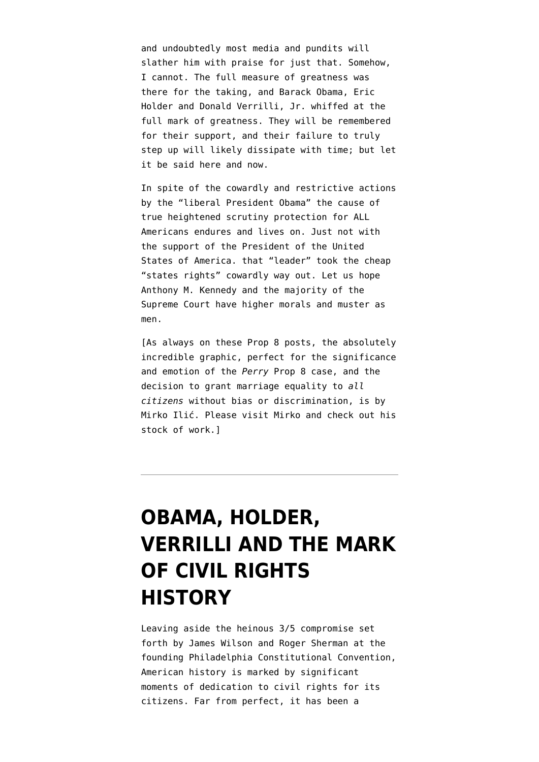and undoubtedly most media and pundits will slather him with praise for just that. Somehow, I cannot. The full measure of greatness was there for the taking, and Barack Obama, Eric Holder and Donald Verrilli, Jr. whiffed at the full mark of greatness. They will be remembered for their support, and their failure to truly step up will likely dissipate with time; but let it be said here and now.

In spite of the cowardly and restrictive actions by the "liberal President Obama" the cause of true heightened scrutiny protection for ALL Americans endures and lives on. Just not with the support of the President of the United States of America. that "leader" took the cheap "states rights" cowardly way out. Let us hope Anthony M. Kennedy and the majority of the Supreme Court have higher morals and muster as men.

[As always on these Prop 8 posts, the absolutely incredible graphic, perfect for the significance and emotion of the *Perry* Prop 8 case, and the decision to grant marriage equality to *all citizens* without bias or discrimination, is by Mirko Ilić. Please [visit Mirko and check out his](http://www.mirkoilicillo.com/) [stock of work](http://www.mirkoilicillo.com/).]

## **[OBAMA, HOLDER,](https://www.emptywheel.net/2013/02/27/obama-holder-verrilli-and-the-mark-of-civil-rights-history/) [VERRILLI AND THE MARK](https://www.emptywheel.net/2013/02/27/obama-holder-verrilli-and-the-mark-of-civil-rights-history/) [OF CIVIL RIGHTS](https://www.emptywheel.net/2013/02/27/obama-holder-verrilli-and-the-mark-of-civil-rights-history/) [HISTORY](https://www.emptywheel.net/2013/02/27/obama-holder-verrilli-and-the-mark-of-civil-rights-history/)**

Leaving aside the heinous 3/5 compromise set forth by James Wilson and Roger Sherman at the founding Philadelphia Constitutional Convention, American history is marked by significant moments of dedication to civil rights for its citizens. Far from perfect, it has been a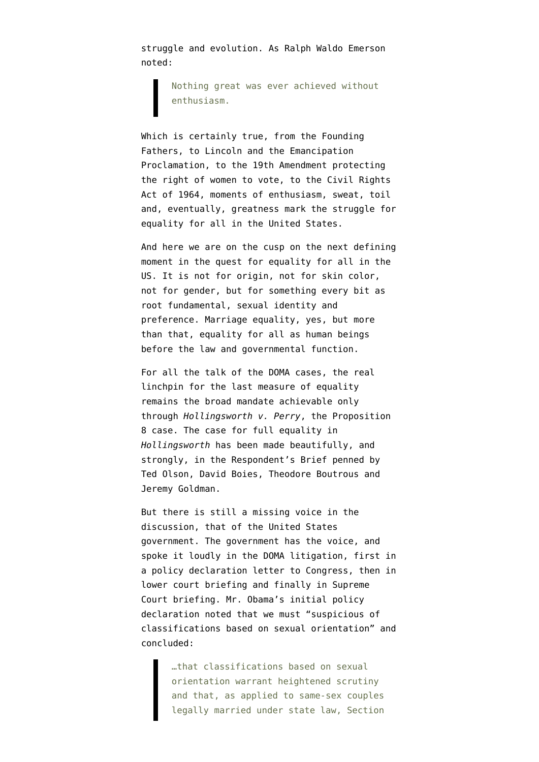struggle and evolution. As [Ralph Waldo Emerson](http://www.goodreads.com/quotes/14785-nothing-great-was-ever-achieved-without-enthusiasm) noted:

> Nothing great was ever achieved without enthusiasm.

Which is certainly true, from the Founding Fathers, to Lincoln and the Emancipation Proclamation, to the 19th Amendment protecting the right of women to vote, to the Civil Rights Act of 1964, moments of enthusiasm, sweat, toil and, eventually, greatness mark the struggle for equality for all in the United States.

And here we are on the cusp on the next defining moment in the quest for equality for all in the US. It is not for origin, not for skin color, not for gender, but for something every bit as root fundamental, sexual identity and preference. Marriage equality, yes, but more than that, equality for all as human beings before the law and governmental function.

For all the talk of [the DOMA cases](http://www.scotusblog.com/2013/02/doma-u-s-takes-tough-line-on-marriage-denial/), the real linchpin for the last measure of equality remains the broad mandate achievable only through *[Hollingsworth v. Perry](http://www.scotusblog.com/?p=159708)*, the Proposition 8 case. The case for full equality in *Hollingsworth* has been made beautifully, and strongly, in the [Respondent's Brief penned by](http://www.emptywheel.net/wp-content/uploads/2013/02/Perry-Plaintiffs-Brief.pdf) [Ted Olson, David Boies, Theodore Boutrous and](http://www.emptywheel.net/wp-content/uploads/2013/02/Perry-Plaintiffs-Brief.pdf) [Jeremy Goldman](http://www.emptywheel.net/wp-content/uploads/2013/02/Perry-Plaintiffs-Brief.pdf).

But there is still a missing voice in the discussion, that of the United States government. The government has the voice, and spoke it loudly in the DOMA litigation, first in a [policy declaration letter to Congress,](http://www.emptywheel.net/2011/02/23/the-new-obama-policy-on-constitutionality-of-doma-boiesolson-reaction/) then in [lower court briefing](http://www.emptywheel.net/2011/07/01/obama-doma-unconstitutional/) and finally in [Supreme](http://www.scotusblog.com/2013/02/doma-u-s-takes-tough-line-on-marriage-denial/) [Court briefing](http://www.scotusblog.com/2013/02/doma-u-s-takes-tough-line-on-marriage-denial/). Mr. Obama's initial [policy](http://www.emptywheel.net/2011/02/23/the-new-obama-policy-on-constitutionality-of-doma-boiesolson-reaction/) [declaration](http://www.emptywheel.net/2011/02/23/the-new-obama-policy-on-constitutionality-of-doma-boiesolson-reaction/) noted that we must "suspicious of classifications based on sexual orientation" and concluded:

> …that classifications based on sexual orientation warrant heightened scrutiny and that, as applied to same-sex couples legally married under state law, Section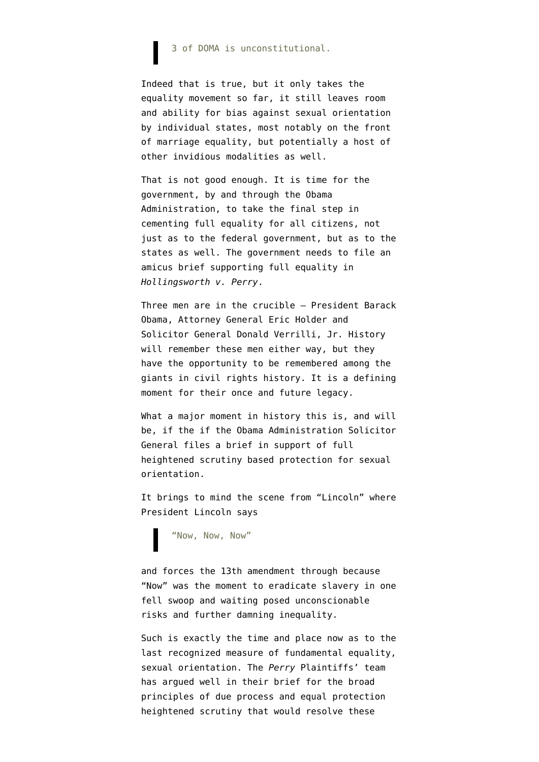#### 3 of DOMA is unconstitutional.

Indeed that is true, but it only takes the equality movement so far, it still leaves room and ability for bias against sexual orientation by individual states, most notably on the front of marriage equality, but potentially a host of other invidious modalities as well.

That is not good enough. It is time for the government, by and through the Obama Administration, to take the final step in cementing full equality for all citizens, not just as to the federal government, but as to the states as well. The government needs to file an amicus brief supporting full equality in *Hollingsworth v. Perry*.

Three men are in the crucible – President Barack Obama, Attorney General Eric Holder and Solicitor General Donald Verrilli, Jr. History will remember these men either way, but they have the opportunity to be remembered among the giants in civil rights history. It is a defining moment for their once and future legacy.

What a major moment in history this is, and will be, if the if the Obama Administration Solicitor General files a brief in support of full heightened scrutiny based protection for sexual orientation.

It brings to mind the scene from "Lincoln" where President Lincoln says

"Now, Now, Now"

and forces the 13th amendment through because "Now" was the moment to eradicate slavery in one fell swoop and waiting posed unconscionable risks and further damning inequality.

Such is exactly the time and place now as to the last recognized measure of fundamental equality, sexual orientation. The *Perry* Plaintiffs' team has argued well in their brief for the broad principles of due process and equal protection heightened scrutiny that would resolve these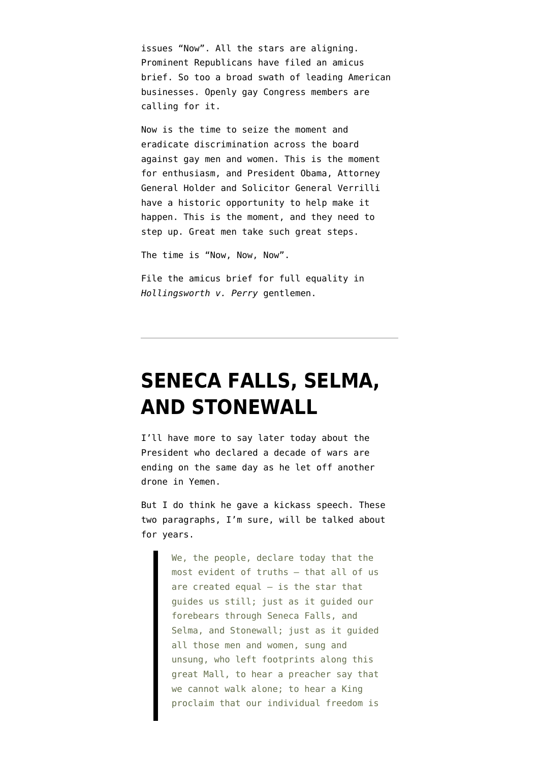issues "Now". All the stars are aligning. [Prominent Republicans](http://www.nytimes.com/2013/02/26/us/politics/prominent-republicans-sign-brief-in-support-of-gay-marriage.html?hp) have filed an amicus brief. So too a [broad swath of leading American](http://features.blogs.fortune.cnn.com/2013/02/26/corporate-america-gay-marriage/) [businesses.](http://features.blogs.fortune.cnn.com/2013/02/26/corporate-america-gay-marriage/) Openly gay Congress members [are](http://my.firedoglake.com/teddysanfran/2013/02/26/congressman-mark-takano-d-ca-asks-obama-to-file-amicus-brief-in-prop-8-case-before-scotus/) [calling for it](http://my.firedoglake.com/teddysanfran/2013/02/26/congressman-mark-takano-d-ca-asks-obama-to-file-amicus-brief-in-prop-8-case-before-scotus/).

Now is the time to seize the moment and eradicate discrimination across the board against gay men and women. This is the moment for enthusiasm, and President Obama, Attorney General Holder and Solicitor General Verrilli have a historic opportunity to help make it happen. This is the moment, and they need to step up. Great men take such great steps.

The time is "Now, Now, Now".

File the amicus brief for full equality in *Hollingsworth v. Perry* gentlemen.

### **[SENECA FALLS, SELMA,](https://www.emptywheel.net/2013/01/21/seneca-falls-selma-and-stonewall/) [AND STONEWALL](https://www.emptywheel.net/2013/01/21/seneca-falls-selma-and-stonewall/)**

I'll have more to say later today about the President who declared a decade of wars are ending on the same day as he let off another drone in Yemen.

But I do think he gave a kickass speech. These two paragraphs, I'm sure, will be talked about for years.

> We, the people, declare today that the most evident of truths – that all of us are created equal  $-$  is the star that guides us still; just as it guided our forebears through Seneca Falls, and Selma, and Stonewall; just as it guided all those men and women, sung and unsung, who left footprints along this great Mall, to hear a preacher say that we cannot walk alone; to hear a King proclaim that our individual freedom is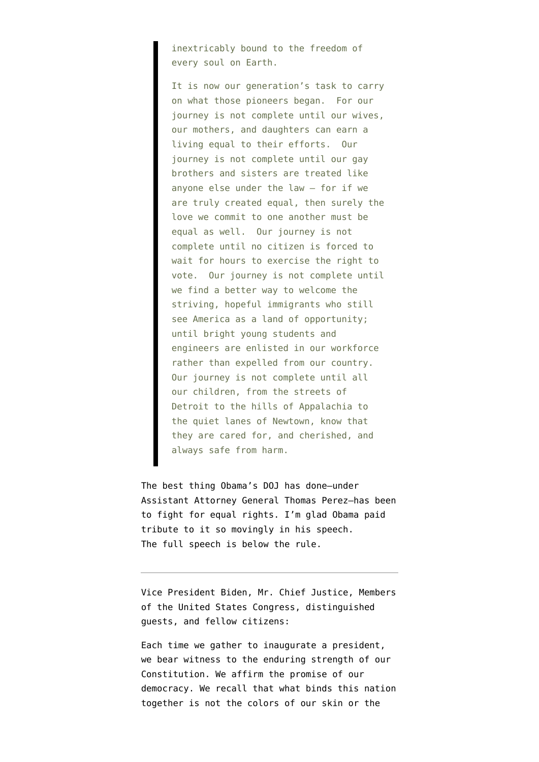inextricably bound to the freedom of every soul on Earth.

It is now our generation's task to carry on what those pioneers began. For our journey is not complete until our wives, our mothers, and daughters can earn a living equal to their efforts. Our journey is not complete until our gay brothers and sisters are treated like anyone else under the law – for if we are truly created equal, then surely the love we commit to one another must be equal as well. Our journey is not complete until no citizen is forced to wait for hours to exercise the right to vote. Our journey is not complete until we find a better way to welcome the striving, hopeful immigrants who still see America as a land of opportunity; until bright young students and engineers are enlisted in our workforce rather than expelled from our country. Our journey is not complete until all our children, from the streets of Detroit to the hills of Appalachia to the quiet lanes of Newtown, know that they are cared for, and cherished, and always safe from harm.

The best thing Obama's DOJ has done–under Assistant Attorney General Thomas Perez–has been to fight for equal rights. I'm glad Obama paid tribute to it so movingly in his speech. The full speech is below the rule.

Vice President Biden, Mr. Chief Justice, Members of the United States Congress, distinguished guests, and fellow citizens:

Each time we gather to inaugurate a president, we bear witness to the enduring strength of our Constitution. We affirm the promise of our democracy. We recall that what binds this nation together is not the colors of our skin or the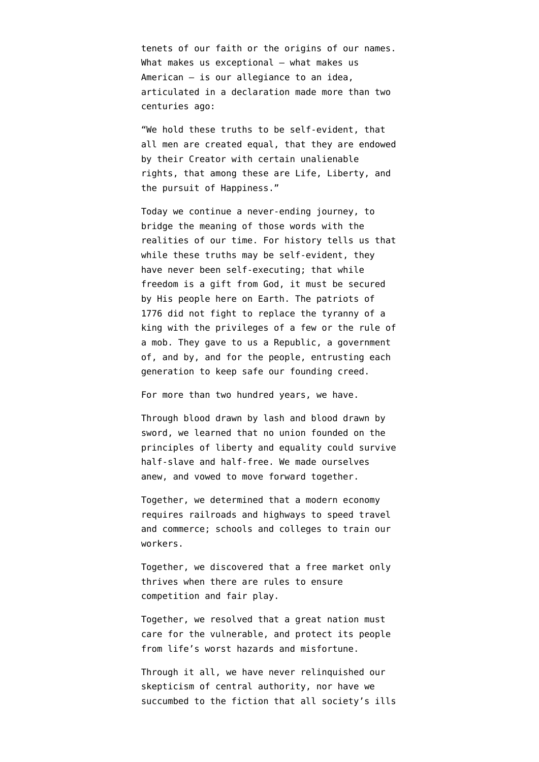tenets of our faith or the origins of our names. What makes us exceptional - what makes us American – is our allegiance to an idea, articulated in a declaration made more than two centuries ago:

"We hold these truths to be self-evident, that all men are created equal, that they are endowed by their Creator with certain unalienable rights, that among these are Life, Liberty, and the pursuit of Happiness."

Today we continue a never-ending journey, to bridge the meaning of those words with the realities of our time. For history tells us that while these truths may be self-evident, they have never been self-executing; that while freedom is a gift from God, it must be secured by His people here on Earth. The patriots of 1776 did not fight to replace the tyranny of a king with the privileges of a few or the rule of a mob. They gave to us a Republic, a government of, and by, and for the people, entrusting each generation to keep safe our founding creed.

For more than two hundred years, we have.

Through blood drawn by lash and blood drawn by sword, we learned that no union founded on the principles of liberty and equality could survive half-slave and half-free. We made ourselves anew, and vowed to move forward together.

Together, we determined that a modern economy requires railroads and highways to speed travel and commerce; schools and colleges to train our workers.

Together, we discovered that a free market only thrives when there are rules to ensure competition and fair play.

Together, we resolved that a great nation must care for the vulnerable, and protect its people from life's worst hazards and misfortune.

Through it all, we have never relinquished our skepticism of central authority, nor have we succumbed to the fiction that all society's ills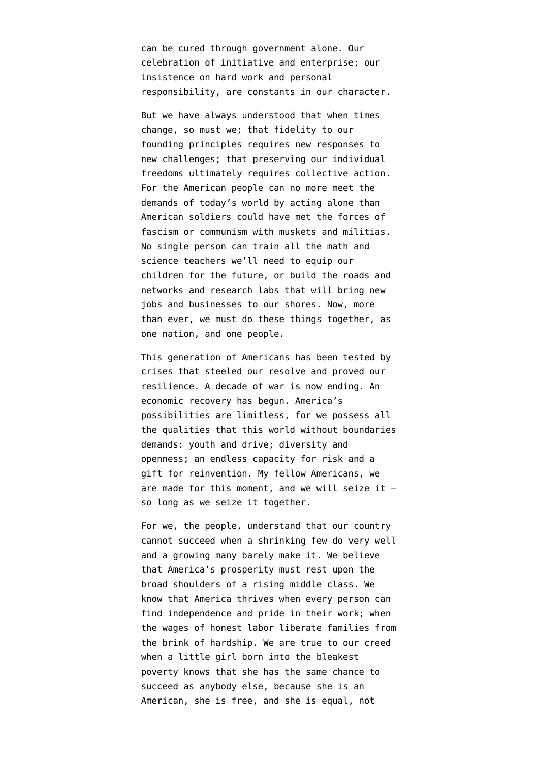can be cured through government alone. Our celebration of initiative and enterprise; our insistence on hard work and personal responsibility, are constants in our character.

But we have always understood that when times change, so must we; that fidelity to our founding principles requires new responses to new challenges; that preserving our individual freedoms ultimately requires collective action. For the American people can no more meet the demands of today's world by acting alone than American soldiers could have met the forces of fascism or communism with muskets and militias. No single person can train all the math and science teachers we'll need to equip our children for the future, or build the roads and networks and research labs that will bring new jobs and businesses to our shores. Now, more than ever, we must do these things together, as one nation, and one people.

This generation of Americans has been tested by crises that steeled our resolve and proved our resilience. A decade of war is now ending. An economic recovery has begun. America's possibilities are limitless, for we possess all the qualities that this world without boundaries demands: youth and drive; diversity and openness; an endless capacity for risk and a gift for reinvention. My fellow Americans, we are made for this moment, and we will seize it – so long as we seize it together.

For we, the people, understand that our country cannot succeed when a shrinking few do very well and a growing many barely make it. We believe that America's prosperity must rest upon the broad shoulders of a rising middle class. We know that America thrives when every person can find independence and pride in their work; when the wages of honest labor liberate families from the brink of hardship. We are true to our creed when a little girl born into the bleakest poverty knows that she has the same chance to succeed as anybody else, because she is an American, she is free, and she is equal, not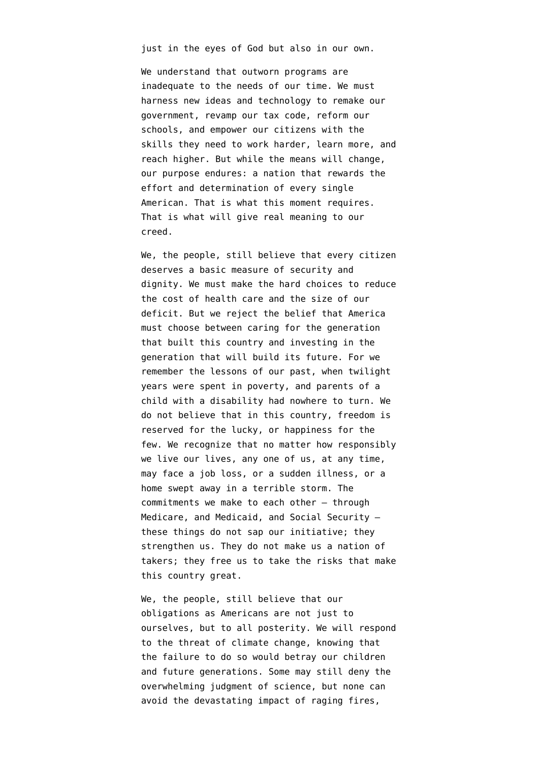just in the eyes of God but also in our own.

We understand that outworn programs are inadequate to the needs of our time. We must harness new ideas and technology to remake our government, revamp our tax code, reform our schools, and empower our citizens with the skills they need to work harder, learn more, and reach higher. But while the means will change, our purpose endures: a nation that rewards the effort and determination of every single American. That is what this moment requires. That is what will give real meaning to our creed.

We, the people, still believe that every citizen deserves a basic measure of security and dignity. We must make the hard choices to reduce the cost of health care and the size of our deficit. But we reject the belief that America must choose between caring for the generation that built this country and investing in the generation that will build its future. For we remember the lessons of our past, when twilight years were spent in poverty, and parents of a child with a disability had nowhere to turn. We do not believe that in this country, freedom is reserved for the lucky, or happiness for the few. We recognize that no matter how responsibly we live our lives, any one of us, at any time, may face a job loss, or a sudden illness, or a home swept away in a terrible storm. The commitments we make to each other – through Medicare, and Medicaid, and Social Security – these things do not sap our initiative; they strengthen us. They do not make us a nation of takers; they free us to take the risks that make this country great.

We, the people, still believe that our obligations as Americans are not just to ourselves, but to all posterity. We will respond to the threat of climate change, knowing that the failure to do so would betray our children and future generations. Some may still deny the overwhelming judgment of science, but none can avoid the devastating impact of raging fires,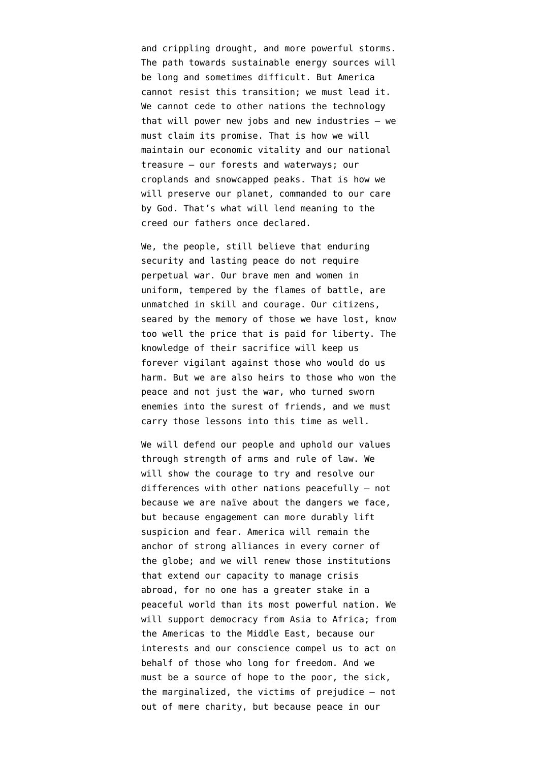and crippling drought, and more powerful storms. The path towards sustainable energy sources will be long and sometimes difficult. But America cannot resist this transition; we must lead it. We cannot cede to other nations the technology that will power new jobs and new industries – we must claim its promise. That is how we will maintain our economic vitality and our national treasure – our forests and waterways; our croplands and snowcapped peaks. That is how we will preserve our planet, commanded to our care by God. That's what will lend meaning to the creed our fathers once declared.

We, the people, still believe that enduring security and lasting peace do not require perpetual war. Our brave men and women in uniform, tempered by the flames of battle, are unmatched in skill and courage. Our citizens, seared by the memory of those we have lost, know too well the price that is paid for liberty. The knowledge of their sacrifice will keep us forever vigilant against those who would do us harm. But we are also heirs to those who won the peace and not just the war, who turned sworn enemies into the surest of friends, and we must carry those lessons into this time as well.

We will defend our people and uphold our values through strength of arms and rule of law. We will show the courage to try and resolve our differences with other nations peacefully – not because we are naïve about the dangers we face, but because engagement can more durably lift suspicion and fear. America will remain the anchor of strong alliances in every corner of the globe; and we will renew those institutions that extend our capacity to manage crisis abroad, for no one has a greater stake in a peaceful world than its most powerful nation. We will support democracy from Asia to Africa; from the Americas to the Middle East, because our interests and our conscience compel us to act on behalf of those who long for freedom. And we must be a source of hope to the poor, the sick, the marginalized, the victims of prejudice – not out of mere charity, but because peace in our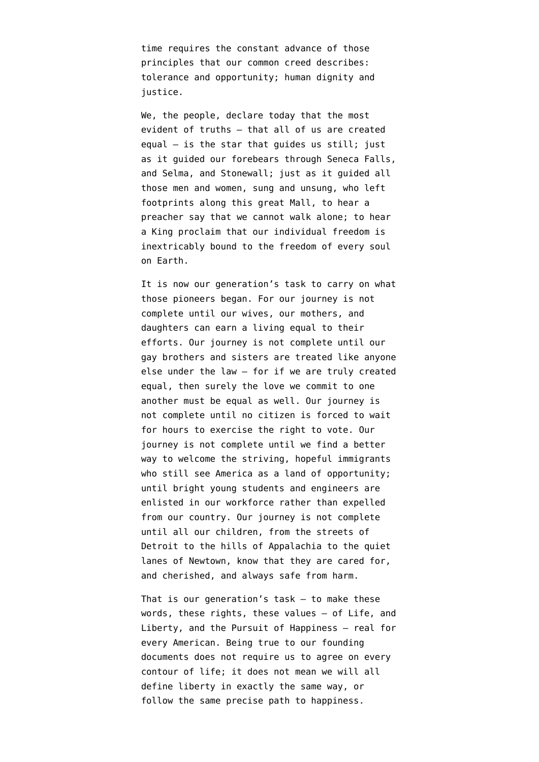time requires the constant advance of those principles that our common creed describes: tolerance and opportunity; human dignity and justice.

We, the people, declare today that the most evident of truths – that all of us are created equal – is the star that guides us still; just as it guided our forebears through Seneca Falls, and Selma, and Stonewall; just as it guided all those men and women, sung and unsung, who left footprints along this great Mall, to hear a preacher say that we cannot walk alone; to hear a King proclaim that our individual freedom is inextricably bound to the freedom of every soul on Earth.

It is now our generation's task to carry on what those pioneers began. For our journey is not complete until our wives, our mothers, and daughters can earn a living equal to their efforts. Our journey is not complete until our gay brothers and sisters are treated like anyone else under the law – for if we are truly created equal, then surely the love we commit to one another must be equal as well. Our journey is not complete until no citizen is forced to wait for hours to exercise the right to vote. Our journey is not complete until we find a better way to welcome the striving, hopeful immigrants who still see America as a land of opportunity; until bright young students and engineers are enlisted in our workforce rather than expelled from our country. Our journey is not complete until all our children, from the streets of Detroit to the hills of Appalachia to the quiet lanes of Newtown, know that they are cared for, and cherished, and always safe from harm.

That is our generation's task – to make these words, these rights, these values – of Life, and Liberty, and the Pursuit of Happiness – real for every American. Being true to our founding documents does not require us to agree on every contour of life; it does not mean we will all define liberty in exactly the same way, or follow the same precise path to happiness.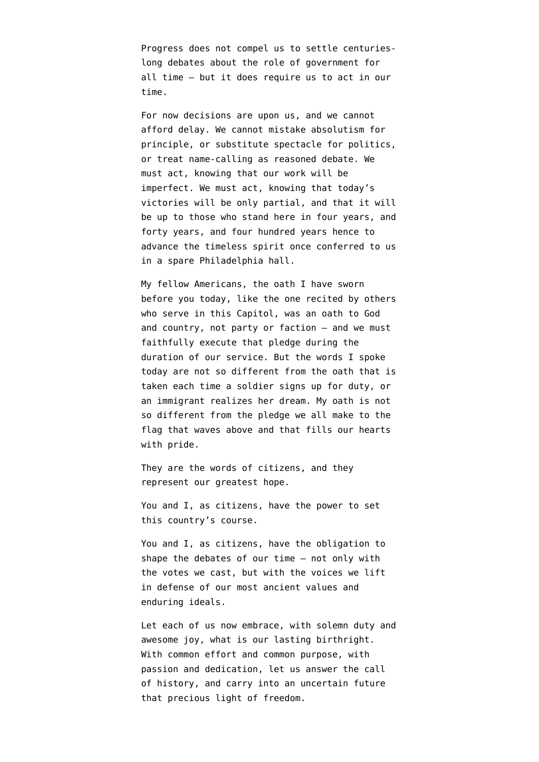Progress does not compel us to settle centurieslong debates about the role of government for all time – but it does require us to act in our time.

For now decisions are upon us, and we cannot afford delay. We cannot mistake absolutism for principle, or substitute spectacle for politics, or treat name-calling as reasoned debate. We must act, knowing that our work will be imperfect. We must act, knowing that today's victories will be only partial, and that it will be up to those who stand here in four years, and forty years, and four hundred years hence to advance the timeless spirit once conferred to us in a spare Philadelphia hall.

My fellow Americans, the oath I have sworn before you today, like the one recited by others who serve in this Capitol, was an oath to God and country, not party or faction – and we must faithfully execute that pledge during the duration of our service. But the words I spoke today are not so different from the oath that is taken each time a soldier signs up for duty, or an immigrant realizes her dream. My oath is not so different from the pledge we all make to the flag that waves above and that fills our hearts with pride.

They are the words of citizens, and they represent our greatest hope.

You and I, as citizens, have the power to set this country's course.

You and I, as citizens, have the obligation to shape the debates of our time – not only with the votes we cast, but with the voices we lift in defense of our most ancient values and enduring ideals.

Let each of us now embrace, with solemn duty and awesome joy, what is our lasting birthright. With common effort and common purpose, with passion and dedication, let us answer the call of history, and carry into an uncertain future that precious light of freedom.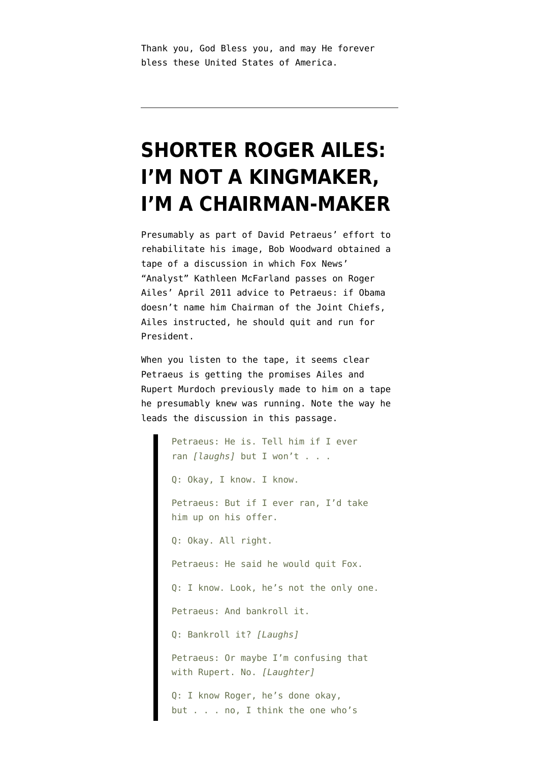Thank you, God Bless you, and may He forever bless these United States of America.

### **[SHORTER ROGER AILES:](https://www.emptywheel.net/2012/12/04/shorter-roger-ailes-im-not-a-kingmaker-im-a-chairman-maker/) [I'M NOT A KINGMAKER,](https://www.emptywheel.net/2012/12/04/shorter-roger-ailes-im-not-a-kingmaker-im-a-chairman-maker/) [I'M A CHAIRMAN-MAKER](https://www.emptywheel.net/2012/12/04/shorter-roger-ailes-im-not-a-kingmaker-im-a-chairman-maker/)**

Presumably as part of David Petraeus' effort to rehabilitate his image, [Bob Woodward obtained a](http://www.washingtonpost.com/lifestyle/style/fox-news-chiefs-failed-attempt-to-enlist-petraeus-as-presidential-candidate/2012/12/03/15fdcea8-3d77-11e2-a2d9-822f58ac9fd5_print.html) [tape of a discussion](http://www.washingtonpost.com/lifestyle/style/fox-news-chiefs-failed-attempt-to-enlist-petraeus-as-presidential-candidate/2012/12/03/15fdcea8-3d77-11e2-a2d9-822f58ac9fd5_print.html) in which Fox News' "Analyst" Kathleen McFarland passes on Roger Ailes' April 2011 advice to Petraeus: if Obama doesn't name him Chairman of the Joint Chiefs, Ailes instructed, he should quit and run for President.

When you [listen to the tape](http://www.washingtonpost.com/lifestyle/style/petraeus-in-2011-fox-news-interview-im-not-running-for-president/2012/12/03/c0aa0c72-3d6d-11e2-a2d9-822f58ac9fd5_video.html), it seems clear Petraeus is getting the promises Ailes and Rupert Murdoch previously made to him on a tape he presumably knew was running. Note the way he leads the discussion in this passage.

> Petraeus: He is. Tell him if I ever ran *[laughs]* but I won't . . . Q: Okay, I know. I know. Petraeus: But if I ever ran, I'd take him up on his offer. Q: Okay. All right. Petraeus: He said he would quit Fox. Q: I know. Look, he's not the only one. Petraeus: And bankroll it. Q: Bankroll it? *[Laughs]* Petraeus: Or maybe I'm confusing that with Rupert. No. *[Laughter]* Q: I know Roger, he's done okay, but . . . no, I think the one who's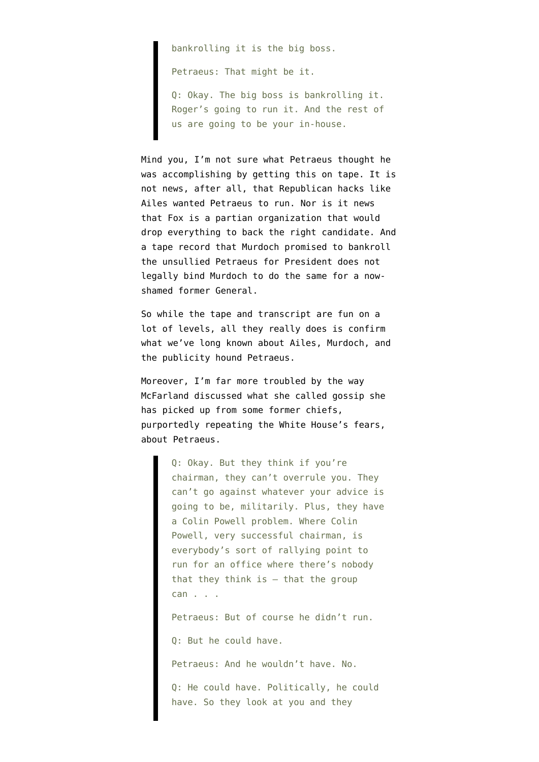bankrolling it is the big boss.

Petraeus: That might be it.

Q: Okay. The big boss is bankrolling it. Roger's going to run it. And the rest of us are going to be your in-house.

Mind you, I'm not sure what Petraeus thought he was accomplishing by getting this on tape. It is not news, after all, that Republican hacks like Ailes wanted Petraeus to run. Nor is it news that Fox is a partian organization that would drop everything to back the right candidate. And a tape record that Murdoch promised to bankroll the unsullied Petraeus for President does not legally bind Murdoch to do the same for a nowshamed former General.

So while the tape and transcript are fun on a lot of levels, all they really does is confirm what we've long known about Ailes, Murdoch, and the publicity hound Petraeus.

Moreover, I'm far more troubled by the way McFarland discussed what she called gossip she has picked up from some former chiefs, purportedly repeating the White House's fears, about Petraeus.

> Q: Okay. But they think if you're chairman, they can't overrule you. They can't go against whatever your advice is going to be, militarily. Plus, they have a Colin Powell problem. Where Colin Powell, very successful chairman, is everybody's sort of rallying point to run for an office where there's nobody that they think is  $-$  that the group can . . .

Petraeus: But of course he didn't run.

Q: But he could have.

Petraeus: And he wouldn't have. No.

Q: He could have. Politically, he could have. So they look at you and they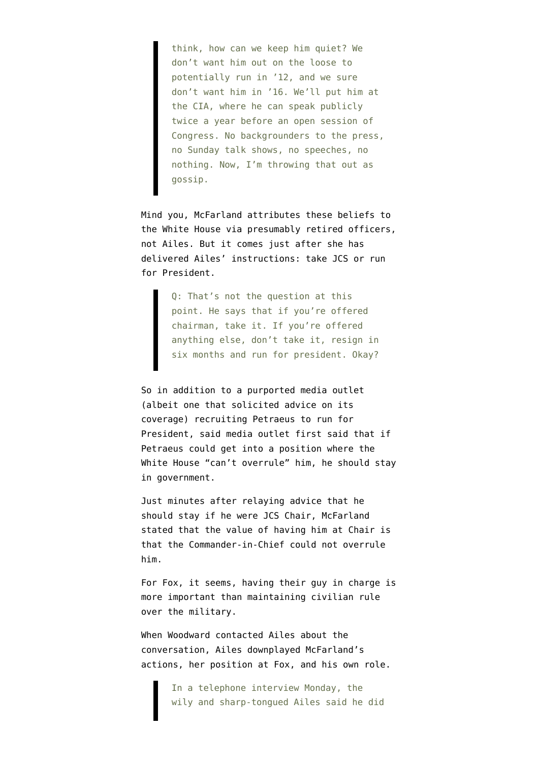think, how can we keep him quiet? We don't want him out on the loose to potentially run in '12, and we sure don't want him in '16. We'll put him at the CIA, where he can speak publicly twice a year before an open session of Congress. No backgrounders to the press, no Sunday talk shows, no speeches, no nothing. Now, I'm throwing that out as gossip.

Mind you, McFarland attributes these beliefs to the White House via presumably retired officers, not Ailes. But it comes just after she has delivered Ailes' instructions: take JCS or run for President.

> Q: That's not the question at this point. He says that if you're offered chairman, take it. If you're offered anything else, don't take it, resign in six months and run for president. Okay?

So in addition to a purported media outlet (albeit one that solicited advice on its coverage) recruiting Petraeus to run for President, said media outlet first said that if Petraeus could get into a position where the White House "can't overrule" him, he should stay in government.

Just minutes after relaying advice that he should stay if he were JCS Chair, McFarland stated that the value of having him at Chair is that the Commander-in-Chief could not overrule him.

For Fox, it seems, having their guy in charge is more important than maintaining civilian rule over the military.

When Woodward contacted Ailes about the conversation, Ailes downplayed McFarland's actions, her position at Fox, and his own role.

> In a telephone interview Monday, the wily and sharp-tongued Ailes said he did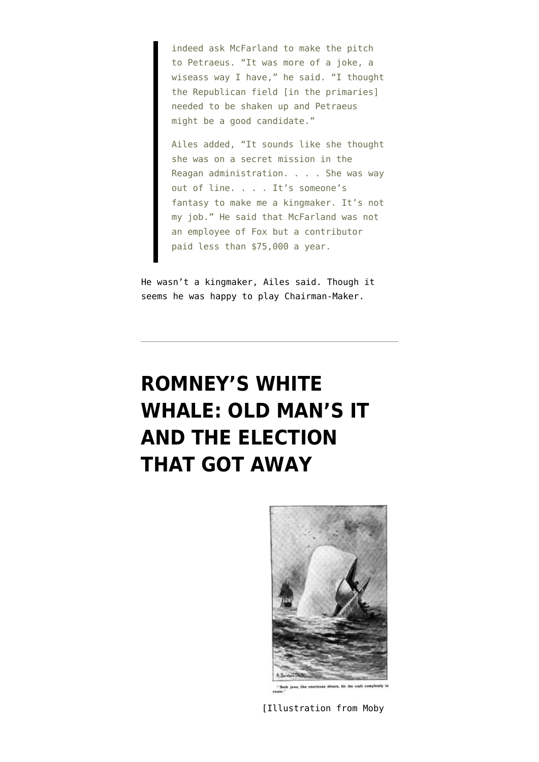indeed ask McFarland to make the pitch to Petraeus. "It was more of a joke, a wiseass way I have," he said. "I thought the Republican field [in the primaries] needed to be shaken up and Petraeus might be a good candidate."

Ailes added, "It sounds like she thought she was on a secret mission in the Reagan administration. . . . She was way out of line. . . . It's someone's fantasy to make me a kingmaker. It's not my job." He said that McFarland was not an employee of Fox but a contributor paid less than \$75,000 a year.

He wasn't a kingmaker, Ailes said. Though it seems he was happy to play Chairman-Maker.

# **[ROMNEY'S WHITE](https://www.emptywheel.net/2012/11/19/romneys-white-whale-old-man-it-and-the-election-that-got-away/) [WHALE: OLD MAN'S IT](https://www.emptywheel.net/2012/11/19/romneys-white-whale-old-man-it-and-the-election-that-got-away/) [AND THE ELECTION](https://www.emptywheel.net/2012/11/19/romneys-white-whale-old-man-it-and-the-election-that-got-away/) [THAT GOT AWAY](https://www.emptywheel.net/2012/11/19/romneys-white-whale-old-man-it-and-the-election-that-got-away/)**



shears, bit the craft

[Illustration from Moby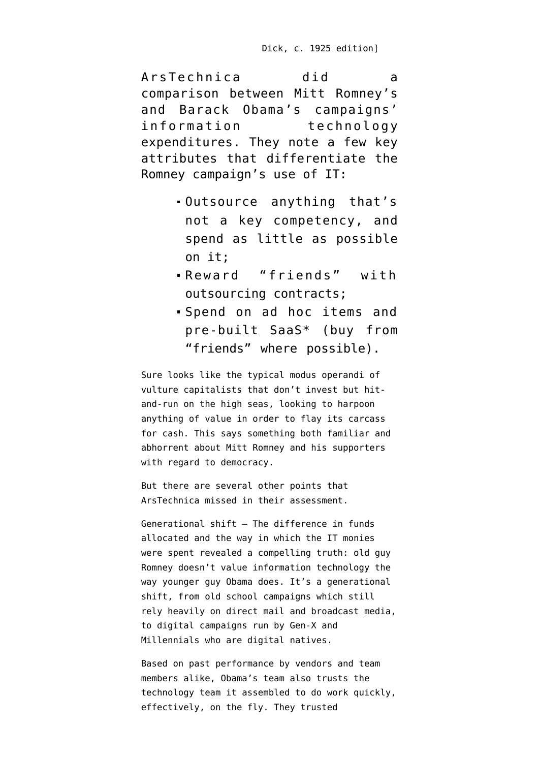ArsTechnica [did a](http://arstechnica.com/information-technology/2012/11/romney-campaign-got-its-it-from-best-buy-staples-and-friends/) [comparison](http://arstechnica.com/information-technology/2012/11/romney-campaign-got-its-it-from-best-buy-staples-and-friends/) between Mitt Romney's and Barack Obama's campaigns' information technology expenditures. They note a few key attributes that differentiate the Romney campaign's use of IT:

- Outsource anything that's not a key competency, and spend as little as possible on it;
- Reward "friends" with outsourcing contracts;
- Spend on ad hoc items and pre-built SaaS\* (buy from "friends" where possible).

Sure looks like the typical modus operandi of vulture capitalists that don't invest but hitand-run on the high seas, looking to harpoon anything of value in order to [flay its carcass](http://www.coolantarctica.com/gallery/whales_whaling/0035.htm) for cash. This says something both familiar and abhorrent about Mitt Romney and his supporters with regard to democracy.

But there are several other points that ArsTechnica missed in their assessment.

Generational shift — The difference in funds allocated and the way in which the IT monies were spent revealed a compelling truth: old guy Romney doesn't value information technology the way younger guy Obama does. It's a generational shift, from old school campaigns which still rely heavily on direct mail and broadcast media, to digital campaigns run by [Gen-X](http://en.wikipedia.org/wiki/Generation_X) and [Millennials](http://en.wikipedia.org/wiki/Millenials) who are [digital natives](http://en.wikipedia.org/wiki/Digital_native).

Based on past performance by vendors and team members alike, Obama's team also trusts the technology team it assembled to do work quickly, effectively, on the fly. They trusted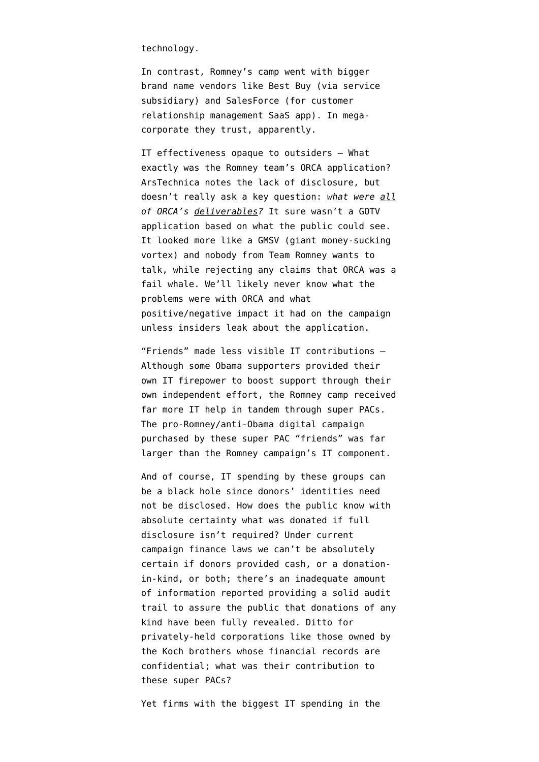technology.

In contrast, Romney's camp went with bigger brand name vendors like Best Buy (via service subsidiary) and SalesForce (for customer relationship management SaaS app). In megacorporate they trust, apparently.

IT effectiveness opaque to outsiders — What exactly was the Romney team's ORCA application? ArsTechnica notes the lack of disclosure, but doesn't really ask a key question: *what were all of ORCA's deliverables?* It sure wasn't a GOTV application based on what the public could see. It looked more like a GMSV (giant money-sucking vortex) and [nobody from Team Romney wants to](http://dailycaller.com/2012/11/16/whos-responsible-for-project-orca-romney-campaign-silent/) [talk](http://dailycaller.com/2012/11/16/whos-responsible-for-project-orca-romney-campaign-silent/), while rejecting any claims that ORCA was a [fail whale.](http://en.wikipedia.org/wiki/File:Failwhale.png) We'll likely never know what the problems were with ORCA and what positive/negative impact it had on the campaign unless insiders leak about the application.

"Friends" made less visible IT contributions — Although some Obama supporters provided their own IT firepower to boost support through their own independent effort, the Romney camp received far more IT help in tandem through super PACs. The pro-Romney/anti-Obama digital campaign purchased by these super PAC "friends" was far larger than the Romney campaign's IT component.

And of course, IT spending by these groups can be a black hole since [donors' identities need](http://gppreview.com/2012/09/10/campaign-disclosure-in-the-super-pac-era-an-interview-with-dr-lee-drutman/) [not be disclosed.](http://gppreview.com/2012/09/10/campaign-disclosure-in-the-super-pac-era-an-interview-with-dr-lee-drutman/) How does the public know with absolute certainty what was donated if full disclosure isn't required? Under current campaign finance laws we can't be absolutely certain if donors provided cash, or a donationin-kind, or both; there's an inadequate amount of information reported providing a solid audit trail to assure the public that donations of any kind have been fully revealed. Ditto for privately-held corporations like those owned by the Koch brothers whose financial records are confidential; what was their contribution to these super PACs?

Yet firms with the biggest IT spending in the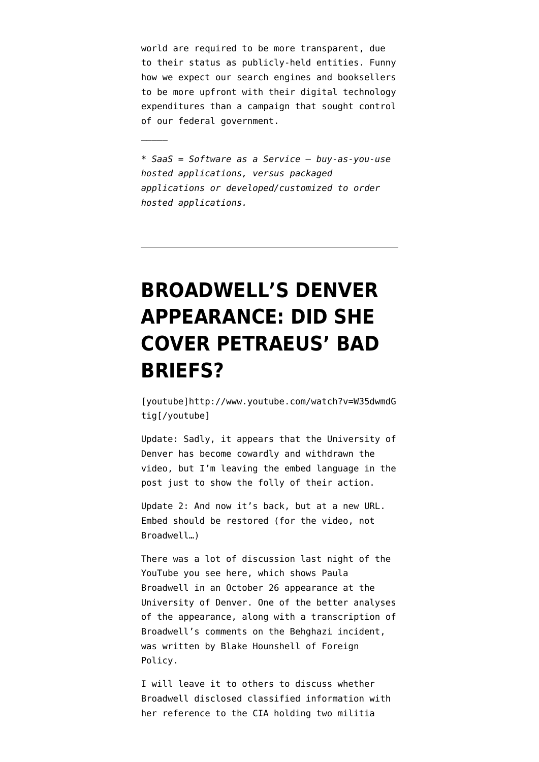world are required to be more transparent, due to their status as publicly-held entities. Funny how we expect our search engines and booksellers to be more upfront with their digital technology expenditures than a campaign that sought control of our federal government.

*\* SaaS = Software as a Service — buy-as-you-use hosted applications, versus packaged applications or developed/customized to order hosted applications.*

 $\frac{1}{2}$ 

## **[BROADWELL'S DENVER](https://www.emptywheel.net/2012/11/12/broadwells-denver-appearance-did-she-cover-petraeus-bad-briefs/) [APPEARANCE: DID SHE](https://www.emptywheel.net/2012/11/12/broadwells-denver-appearance-did-she-cover-petraeus-bad-briefs/) [COVER PETRAEUS' BAD](https://www.emptywheel.net/2012/11/12/broadwells-denver-appearance-did-she-cover-petraeus-bad-briefs/) [BRIEFS?](https://www.emptywheel.net/2012/11/12/broadwells-denver-appearance-did-she-cover-petraeus-bad-briefs/)**

[youtube]http://www.youtube.com/watch?v=W35dwmdG tig[/youtube]

Update: Sadly, it appears that the University of Denver has become cowardly and withdrawn the video, but I'm leaving the embed language in the post just to show the folly of their action.

Update 2: And now it's back, but at a [new URL](http://www.youtube.com/watch?v=W35dwmdGtig). Embed should be restored (for the video, not Broadwell…)

There was a lot of discussion last night of the [YouTube](http://www.youtube.com/watch?v=dPaf5OJSskY) you see here, which shows Paula Broadwell in an October 26 appearance at the University of Denver. One of the better analyses of the appearance, along with a transcription of Broadwell's comments on the Behghazi incident, was written by [Blake Hounshell of Foreign](http://blog.foreignpolicy.com/posts/2012/11/11/did_petraeus_mistress_reveal_new_benghazi_details) [Policy](http://blog.foreignpolicy.com/posts/2012/11/11/did_petraeus_mistress_reveal_new_benghazi_details).

I will leave it to others to discuss whether Broadwell disclosed classified information with her reference to the CIA holding two militia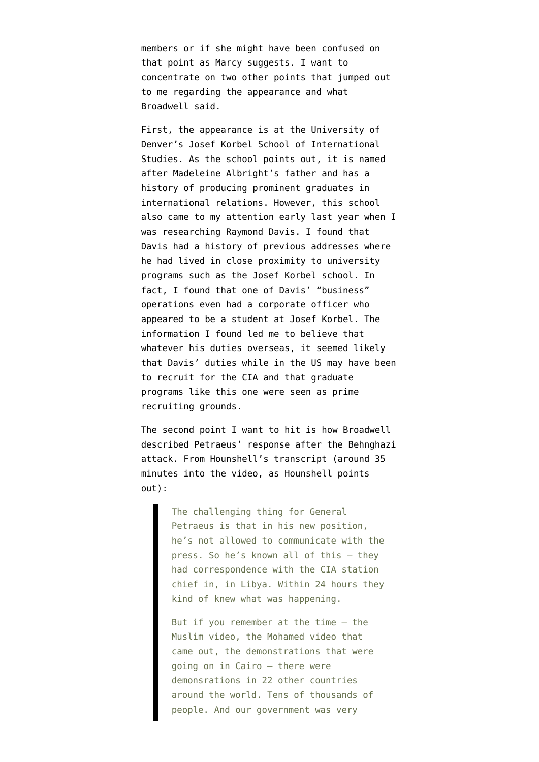members or if she might have been confused on that point [as Marcy suggests](https://twitter.com/emptywheel/statuses/267979144699183104). I want to concentrate on two other points that jumped out to me regarding the appearance and what Broadwell said.

First, the appearance is at the University of Denver's [Josef Korbel School of International](http://www.du.edu/korbel/academic/academic_degree_programs/ma/international_security_program/index.html) [Studies.](http://www.du.edu/korbel/academic/academic_degree_programs/ma/international_security_program/index.html) As the school points out, it is [named](http://www.du.edu/korbel/about/ourhistory.html) [after Madeleine Albright's father](http://www.du.edu/korbel/about/ourhistory.html) and has a history of producing prominent graduates in international relations. However, this school also came to my attention early last year when I was researching Raymond Davis. I found that Davis had a history of previous addresses where he had lived in close proximity to university programs such as the Josef Korbel school. In fact, I found that one of Davis' "business" operations even had a [corporate officer who](http://my.firedoglake.com/jimwhite/2011/02/17/does-raymond-davis-recruit-intelligence-agents-in-us/) [appeared to be a student at Josef Korbel.](http://my.firedoglake.com/jimwhite/2011/02/17/does-raymond-davis-recruit-intelligence-agents-in-us/) The information I found led me to believe that whatever his duties overseas, it seemed likely that Davis' duties while in the US may have been to recruit for the CIA and that graduate programs like this one were seen as prime recruiting grounds.

The second point I want to hit is how Broadwell described Petraeus' response after the Behnghazi attack. From Hounshell's transcript (around 35 minutes into the video, as Hounshell points out):

> The challenging thing for General Petraeus is that in his new position, he's not allowed to communicate with the press. So he's known all of this — they had correspondence with the CIA station chief in, in Libya. Within 24 hours they kind of knew what was happening.

But if you remember at the time  $-$  the Muslim video, the Mohamed video that came out, the demonstrations that were going on in Cairo — there were demonsrations in 22 other countries around the world. Tens of thousands of people. And our government was very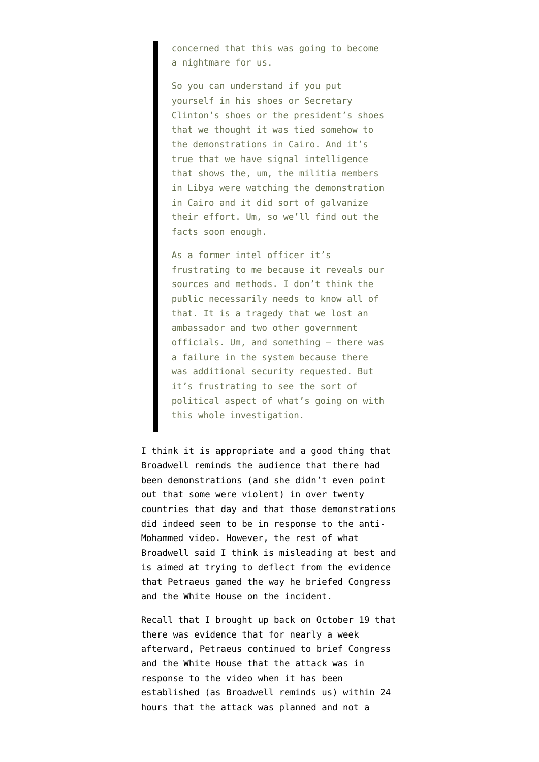concerned that this was going to become a nightmare for us.

So you can understand if you put yourself in his shoes or Secretary Clinton's shoes or the president's shoes that we thought it was tied somehow to the demonstrations in Cairo. And it's true that we have signal intelligence that shows the, um, the militia members in Libya were watching the demonstration in Cairo and it did sort of galvanize their effort. Um, so we'll find out the facts soon enough.

As a former intel officer it's frustrating to me because it reveals our sources and methods. I don't think the public necessarily needs to know all of that. It is a tragedy that we lost an ambassador and two other government officials. Um, and something — there was a failure in the system because there was additional security requested. But it's frustrating to see the sort of political aspect of what's going on with this whole investigation.

I think it is appropriate and a good thing that Broadwell reminds the audience that there had been demonstrations (and she didn't even point out that some were violent) in over twenty countries that day and that those demonstrations did indeed seem to be in response to the anti-Mohammed video. However, the rest of what Broadwell said I think is misleading at best and is aimed at trying to deflect from the evidence that Petraeus gamed the way he briefed Congress and the White House on the incident.

Recall that [I brought up back on October 19](http://www.emptywheel.net/2012/10/19/petraeus-pouts-about-his-small-drone-fleet-but-did-he-hide-benghazi-intelligence/) that there was evidence that for nearly a week afterward, Petraeus continued to brief Congress and the White House that the attack was in response to the video when it has been established (as Broadwell reminds us) within 24 hours that the attack was planned and not a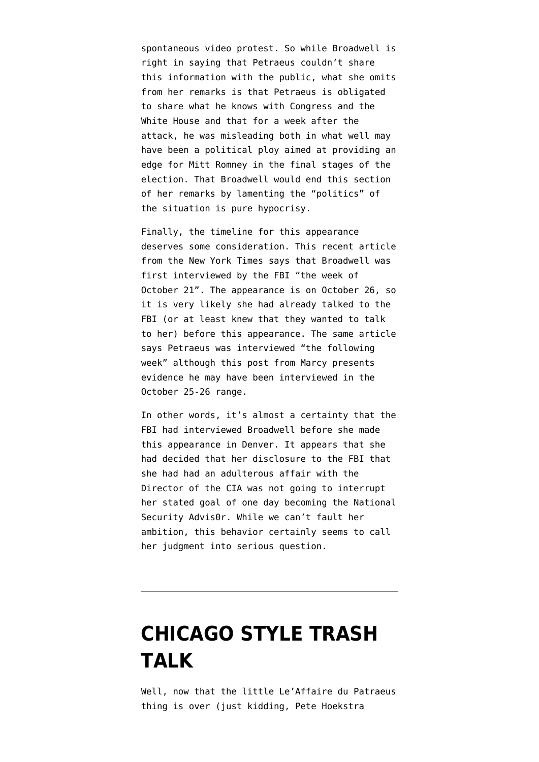spontaneous video protest. So while Broadwell is right in saying that Petraeus couldn't share this information with the public, what she omits from her remarks is that Petraeus is obligated to share what he knows with Congress and the White House and that for a week after the attack, he was misleading both in what well may have been a political ploy aimed at providing an edge for Mitt Romney in the final stages of the election. That Broadwell would end this section of her remarks by lamenting the "politics" of the situation is pure hypocrisy.

Finally, the timeline for this appearance deserves some consideration. This [recent article](http://www.nytimes.com/2012/11/12/us/us-officials-say-petraeuss-affair-known-in-summer.html?pagewanted=2&_r=0&hp) [from the New York Times](http://www.nytimes.com/2012/11/12/us/us-officials-say-petraeuss-affair-known-in-summer.html?pagewanted=2&_r=0&hp) says that Broadwell was first interviewed by the FBI "the week of October 21". The appearance is on October 26, so it is very likely she had already talked to the FBI (or at least knew that they wanted to talk to her) before this appearance. The same article says Petraeus was interviewed "the following week" although [this post from Marcy](http://www.emptywheel.net/2012/11/11/why-would-a-whistleblower-go-to-eric-cantor/) presents evidence he may have been interviewed in the October 25-26 range.

In other words, it's almost a certainty that the FBI had interviewed Broadwell before she made this appearance in Denver. It appears that she had decided that her disclosure to the FBI that she had had an adulterous affair with the Director of the CIA was not going to interrupt her stated goal of one day becoming the National Security Advis0r. While we can't fault her ambition, this behavior certainly seems to call her judgment into serious question.

#### **[CHICAGO STYLE TRASH](https://www.emptywheel.net/2012/11/10/chicago-style-trash-talk/) [TALK](https://www.emptywheel.net/2012/11/10/chicago-style-trash-talk/)**

Well, now that the little [Le'Affaire du Patraeus](http://www.dependablerenegade.com/dependable_renegade/2012/11/petraeus-out-and-in.html) thing is over (just kidding, [Pete Hoekstra](https://twitter.com/petehoekstra/status/267093052596813824)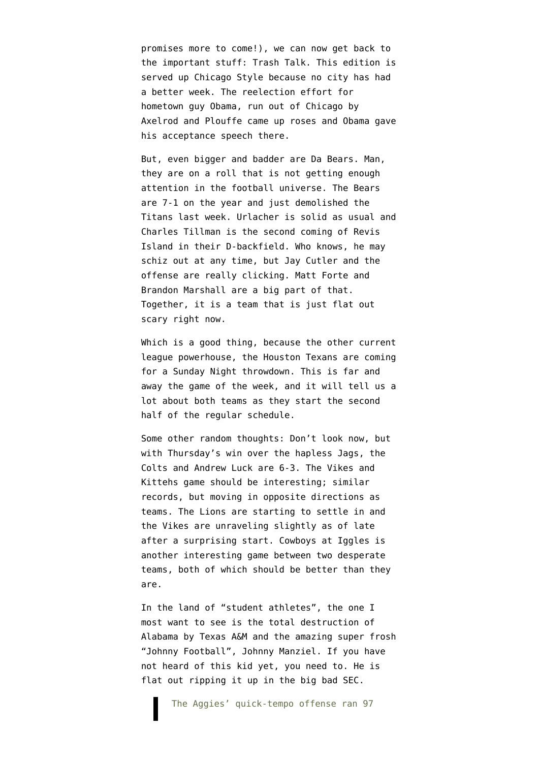[promises more to come](https://twitter.com/petehoekstra/status/267093052596813824)!), we can now get back to the important stuff: Trash Talk. This edition is served up Chicago Style because no city has had a better week. The reelection effort for hometown guy Obama, run out of Chicago by Axelrod and Plouffe came up roses and Obama gave his acceptance speech there.

But, even bigger and badder are Da Bears. Man, they are on a roll that is not getting enough attention in the football universe. The Bears are 7-1 on the year and just demolished the Titans last week. Urlacher is solid as usual and Charles Tillman is the second coming of Revis Island in their D-backfield. Who knows, he may schiz out at any time, but Jay Cutler and the offense are really clicking. Matt Forte and Brandon Marshall are a big part of that. Together, it is a team that is just flat out scary right now.

Which is a good thing, because the other current league powerhouse, the Houston Texans are coming for a Sunday Night throwdown. This is far and away the game of the week, and it will tell us a lot about both teams as they start the second half of the regular schedule.

Some other random thoughts: Don't look now, but with Thursday's win over the hapless Jags, the Colts and Andrew Luck are 6-3. The Vikes and Kittehs game should be interesting; similar records, but moving in opposite directions as teams. The Lions are starting to settle in and the Vikes are unraveling slightly as of late after a surprising start. Cowboys at Iggles is another interesting game between two desperate teams, both of which should be better than they are.

In the land of "student athletes", the one I most want to see is the total destruction of Alabama by Texas A&M and the amazing super frosh ["Johnny Football",](http://www.cbssports.com/collegefootball/story/20867944/with-johnny-football-pulling-the-trigger-sumlins-aggies-have-settled-right-into-sec/rss) Johnny Manziel. If you have not heard of this kid yet, you need to. He is [flat out ripping it up](http://msn.foxsports.com/collegefootball/story/Texas-AMAlabama-Preview-16032067) in the big bad SEC.

The Aggies' quick-tempo offense ran 97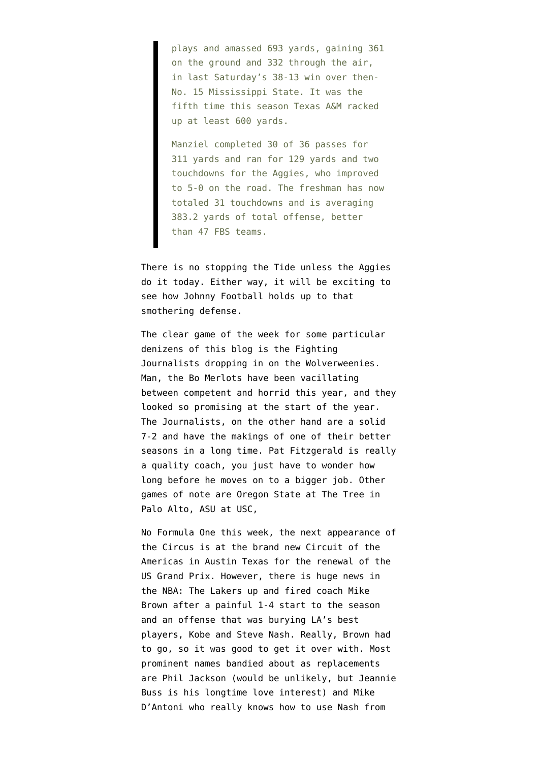plays and amassed 693 yards, gaining 361 on the ground and 332 through the air, in last Saturday's 38-13 win over then-No. 15 Mississippi State. It was the fifth time this season Texas A&M racked up at least 600 yards.

Manziel completed 30 of 36 passes for 311 yards and ran for 129 yards and two touchdowns for the Aggies, who improved to 5-0 on the road. The freshman has now totaled 31 touchdowns and is averaging 383.2 yards of total offense, better than 47 FBS teams.

There is no stopping the Tide unless the Aggies do it today. Either way, it will be exciting to see how Johnny Football holds up to that smothering defense.

The clear game of the week for some particular denizens of this blog is the Fighting Journalists dropping in on the Wolverweenies. Man, the Bo Merlots have been vacillating between competent and horrid this year, and they looked so promising at the start of the year. The Journalists, on the other hand are a solid 7-2 and have the makings of one of their better seasons in a long time. Pat Fitzgerald is really a quality coach, you just have to wonder how long before he moves on to a bigger job. Other games of note are Oregon State at The Tree in Palo Alto, ASU at USC,

No Formula One this week, the next appearance of the Circus is at the brand new Circuit of the Americas in Austin Texas for the renewal of the US Grand Prix. However, there is huge news in the NBA: The Lakers up and fired coach Mike Brown after a painful 1-4 start to the season and an offense that was burying LA's best players, Kobe and Steve Nash. Really, Brown had to go, so it was good to get it over with. Most prominent names bandied about as replacements are Phil Jackson (would be unlikely, but Jeannie Buss is his longtime love interest) and Mike D'Antoni who really knows how to use Nash from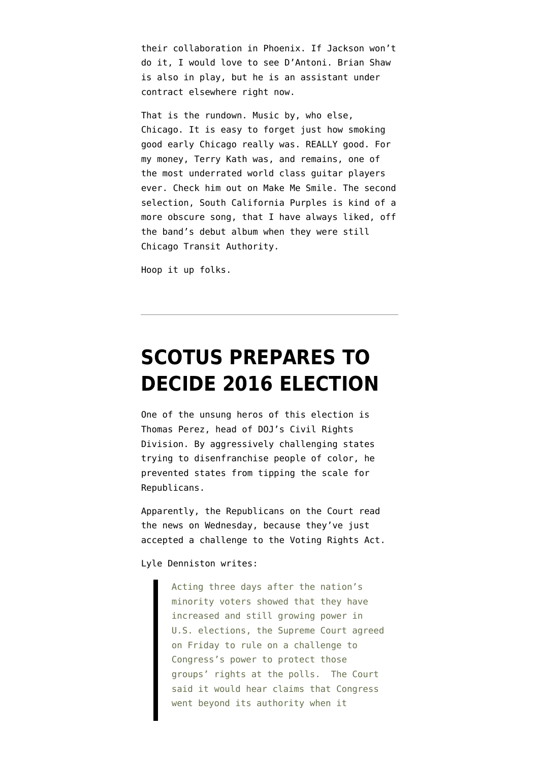their collaboration in Phoenix. If Jackson won't do it, I would love to see D'Antoni. Brian Shaw is also in play, but he is an assistant under contract elsewhere right now.

That is the rundown. Music by, who else, Chicago. It is easy to forget just how smoking good early Chicago really was. REALLY good. For my money, Terry Kath was, and remains, one of the most underrated world class guitar players ever. Check him out on Make Me Smile. The second selection, South California Purples is kind of a more obscure song, that I have always liked, off the band's debut album when they were still Chicago Transit Authority.

Hoop it up folks.

### **[SCOTUS PREPARES TO](https://www.emptywheel.net/2012/11/09/scotus-prepares-to-decide-2016-election/) [DECIDE 2016 ELECTION](https://www.emptywheel.net/2012/11/09/scotus-prepares-to-decide-2016-election/)**

One of the unsung heros of this election is Thomas Perez, head of DOJ's Civil Rights Division. By aggressively challenging states trying to disenfranchise people of color, he prevented states from tipping the scale for Republicans.

Apparently, the Republicans on the Court read the news on Wednesday, because they've just accepted a challenge to the Voting Rights Act.

Lyle Denniston [writes](http://www.scotusblog.com/2012/11/court-to-rule-on-voting-rights-law-2/):

Acting three days after the nation's minority voters showed that they have increased and still growing power in U.S. elections, the Supreme Court agreed on Friday to rule on a challenge to Congress's power to protect those groups' rights at the polls. The Court said it would hear claims that Congress went beyond its authority when it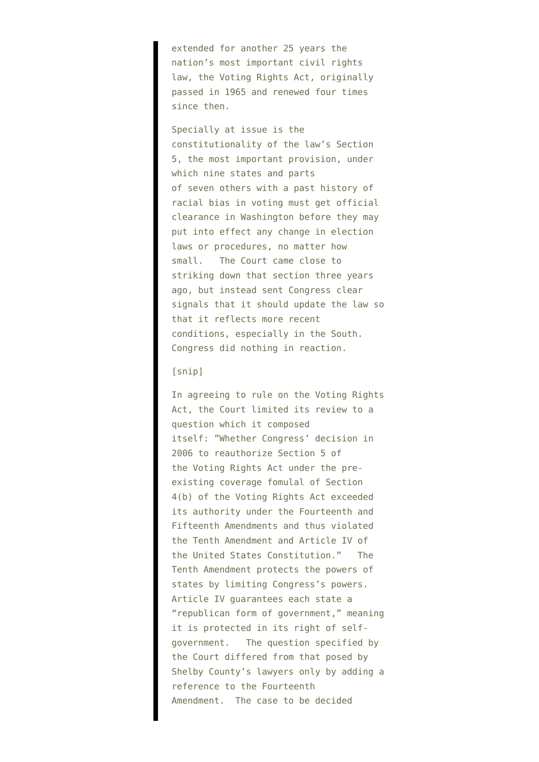extended for another 25 years the nation's most important civil rights law, the Voting Rights Act, originally passed in 1965 and renewed four times since then.

Specially at issue is the constitutionality of the law's Section 5, the most important provision, under which nine states and parts of seven others with a past history of racial bias in voting must get official clearance in Washington before they may put into effect any change in election laws or procedures, no matter how small. The Court came close to striking down that section three years ago, but instead sent Congress clear signals that it should update the law so that it reflects more recent conditions, especially in the South. Congress did nothing in reaction.

#### [snip]

In agreeing to rule on the Voting Rights Act, the Court limited its review to a question which it composed itself: "Whether Congress' decision in 2006 to reauthorize Section 5 of the Voting Rights Act under the preexisting coverage fomulal of Section 4(b) of the Voting Rights Act exceeded its authority under the Fourteenth and Fifteenth Amendments and thus violated the Tenth Amendment and Article IV of the United States Constitution." The Tenth Amendment protects the powers of states by limiting Congress's powers. Article IV guarantees each state a "republican form of government," meaning it is protected in its right of selfgovernment. The question specified by the Court differed from that posed by Shelby County's lawyers only by adding a reference to the Fourteenth Amendment. The case to be decided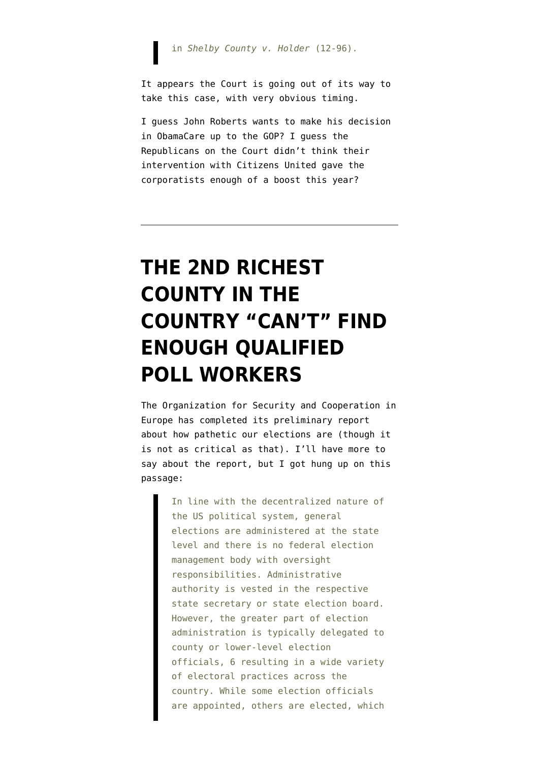in *Shelby County v. Holder* (12-96).

It appears the Court is going out of its way to take this case, with very obvious timing.

I guess John Roberts wants to make his decision in ObamaCare up to the GOP? I guess the Republicans on the Court didn't think their intervention with Citizens United gave the corporatists enough of a boost this year?

## **[THE 2ND RICHEST](https://www.emptywheel.net/2012/11/09/the-2nd-richest-county-in-the-country-cant-find-enough-qualified-poll-workers/) [COUNTY IN THE](https://www.emptywheel.net/2012/11/09/the-2nd-richest-county-in-the-country-cant-find-enough-qualified-poll-workers/) [COUNTRY "CAN'T" FIND](https://www.emptywheel.net/2012/11/09/the-2nd-richest-county-in-the-country-cant-find-enough-qualified-poll-workers/) [ENOUGH QUALIFIED](https://www.emptywheel.net/2012/11/09/the-2nd-richest-county-in-the-country-cant-find-enough-qualified-poll-workers/) [POLL WORKERS](https://www.emptywheel.net/2012/11/09/the-2nd-richest-county-in-the-country-cant-find-enough-qualified-poll-workers/)**

The Organization for Security and Cooperation in Europe has [completed its preliminary report](http://www.osce.org/odihr/elections/96958) about how pathetic our elections are (though it is not as critical as that). I'll have more to say about the report, but I got hung up on this passage:

> In line with the decentralized nature of the US political system, general elections are administered at the state level and there is no federal election management body with oversight responsibilities. Administrative authority is vested in the respective state secretary or state election board. However, the greater part of election administration is typically delegated to county or lower-level election officials, 6 resulting in a wide variety of electoral practices across the country. While some election officials are appointed, others are elected, which